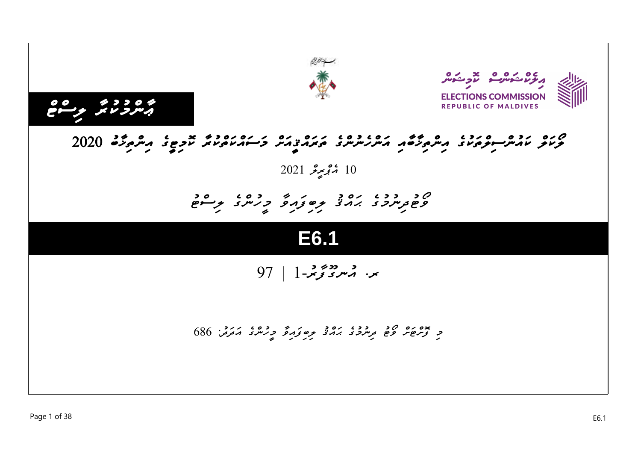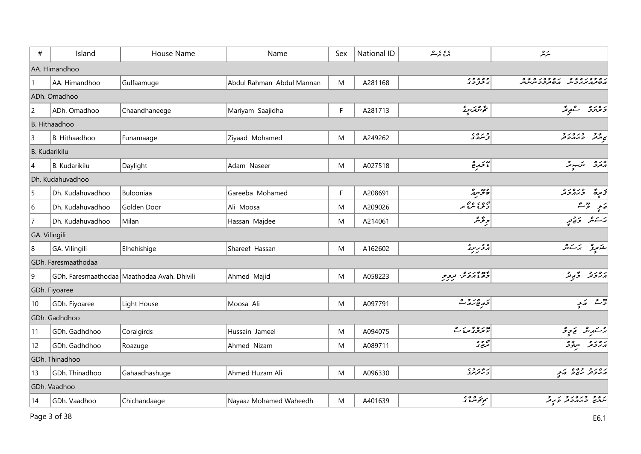| #             | Island               | House Name                                  | Name                      | Sex       | National ID | ، ه ، ره<br>د ، برگ                       | ىئرىتر                                                                                                                                                                                                                                                                                                                          |
|---------------|----------------------|---------------------------------------------|---------------------------|-----------|-------------|-------------------------------------------|---------------------------------------------------------------------------------------------------------------------------------------------------------------------------------------------------------------------------------------------------------------------------------------------------------------------------------|
|               | AA. Himandhoo        |                                             |                           |           |             |                                           |                                                                                                                                                                                                                                                                                                                                 |
|               | AA. Himandhoo        | Gulfaamuge                                  | Abdul Rahman Abdul Mannan | ${\sf M}$ | A281168     | وه پر و ،<br><b>ی</b> موتو <del>و</del> ی |                                                                                                                                                                                                                                                                                                                                 |
|               | ADh. Omadhoo         |                                             |                           |           |             |                                           |                                                                                                                                                                                                                                                                                                                                 |
|               | ADh. Omadhoo         | Chaandhaneege                               | Mariyam Saajidha          | F         | A281713     | ىمەمگەتكەس <sub>ى</sub><br>م              | رەرە شەپ                                                                                                                                                                                                                                                                                                                        |
|               | B. Hithaadhoo        |                                             |                           |           |             |                                           |                                                                                                                                                                                                                                                                                                                                 |
| 3             | B. Hithaadhoo        | Funamaage                                   | Ziyaad Mohamed            | M         | A249262     | د ر د ،<br>تر سرچ د                       | پر در دره در د<br>په در درگردن                                                                                                                                                                                                                                                                                                  |
|               | B. Kudarikilu        |                                             |                           |           |             |                                           |                                                                                                                                                                                                                                                                                                                                 |
| 14            | <b>B.</b> Kudarikilu | Daylight                                    | Adam Naseer               | M         | A027518     | پی تر مربع                                | وره الكبيدة                                                                                                                                                                                                                                                                                                                     |
|               | Dh. Kudahuvadhoo     |                                             |                           |           |             |                                           |                                                                                                                                                                                                                                                                                                                                 |
| 5             | Dh. Kudahuvadhoo     | <b>Bulooniaa</b>                            | Gareeba Mohamed           | F         | A208691     | 32°سرچ                                    | $\begin{array}{ccc} 7.0000 & 0 & 0 & 0 \\ 0 & 0 & 0 & 0 \\ 0 & 0 & 0 & 0 \\ 0 & 0 & 0 & 0 \\ 0 & 0 & 0 & 0 \\ 0 & 0 & 0 & 0 \\ 0 & 0 & 0 & 0 \\ 0 & 0 & 0 & 0 \\ 0 & 0 & 0 & 0 \\ 0 & 0 & 0 & 0 \\ 0 & 0 & 0 & 0 \\ 0 & 0 & 0 & 0 \\ 0 & 0 & 0 & 0 \\ 0 & 0 & 0 & 0 \\ 0 & 0 & 0 & 0 \\ 0 & 0 & 0 & 0 \\ 0 & 0 & 0 & 0 \\ 0 & $ |
| 6             | Dh. Kudahuvadhoo     | Golden Door                                 | Ali Moosa                 | M         | A209026     | ە دە دەم.<br>ئەخرى مىرى ئىر               |                                                                                                                                                                                                                                                                                                                                 |
| 7             | Dh. Kudahuvadhoo     | Milan                                       | Hassan Majdee             | M         | A214061     | جە ئۇنىڭر                                 | برسكس وقامر                                                                                                                                                                                                                                                                                                                     |
| GA. Vilingili |                      |                                             |                           |           |             |                                           |                                                                                                                                                                                                                                                                                                                                 |
| 8             | GA. Vilingili        | Elhehishige                                 | Shareef Hassan            | M         | A162602     | ه د کریږي<br>د کريږي                      | خىم بوق بىر كىشكى                                                                                                                                                                                                                                                                                                               |
|               | GDh. Faresmaathodaa  |                                             |                           |           |             |                                           |                                                                                                                                                                                                                                                                                                                                 |
| 9             |                      | GDh. Faresmaathodaa Maathodaa Avah. Dhivili | Ahmed Majid               | M         | A058223     | رسد دره<br>وی دوس دوم                     | رەر ئۇي قى                                                                                                                                                                                                                                                                                                                      |
|               | GDh. Fiyoaree        |                                             |                           |           |             |                                           |                                                                                                                                                                                                                                                                                                                                 |
| 10            | GDh. Fiyoaree        | Light House                                 | Moosa Ali                 | M         | A097791     | ئەرەبەر م                                 | $\frac{1}{2}$ $\frac{2}{3}$                                                                                                                                                                                                                                                                                                     |
|               | <b>GDh. Gadhdhoo</b> |                                             |                           |           |             |                                           |                                                                                                                                                                                                                                                                                                                                 |
| 11            | GDh. Gadhdhoo        | Coralgirds                                  | Hussain Jameel            | ${\sf M}$ | A094075     | بىر بىر بىر بىر<br>ئىر بىر بىر يۈسكە      | جر سکھر ہے تا تا تا ہے جاتا ہے۔<br>براہ تاریخ کے تاریخ<br>امریکا تاریخ کا معرفہ کا تاریخ کا تاریخ کا تاریخ کا تاریخ کا تاریخ کا تاریخ کا تاریخ کا تاریخ کا تاریخ کا تاری                                                                                                                                                        |
| 12            | GDh. Gadhdhoo        | Roazuge                                     | Ahmed Nizam               | M         | A089711     | ە د ،<br>ترى                              |                                                                                                                                                                                                                                                                                                                                 |
|               | GDh. Thinadhoo       |                                             |                           |           |             |                                           |                                                                                                                                                                                                                                                                                                                                 |
| 13            | GDh. Thinadhoo       | Gahaadhashuge                               | Ahmed Huzam Ali           | M         | A096330     | ر بر ر و ،<br>ى ئرتىرىرى                  | ر 2 در 2 درج 2 در<br>مربر 3 درج 2 درج                                                                                                                                                                                                                                                                                           |
|               | GDh. Vaadhoo         |                                             |                           |           |             |                                           |                                                                                                                                                                                                                                                                                                                                 |
| 14            | GDh. Vaadhoo         | Chichandaage                                | Nayaaz Mohamed Waheedh    | M         | A401639     | ى ئۇشى ئ                                  | ر و و دره ر و در و<br>سرگان و په دولر کوبرنگر                                                                                                                                                                                                                                                                                   |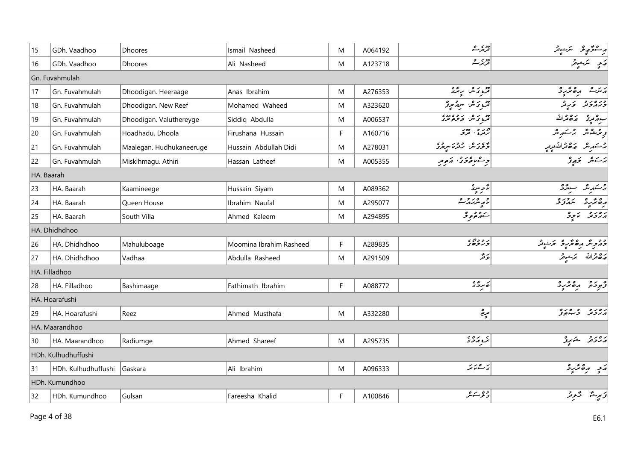| 15         | GDh. Vaadhoo        | <b>Dhoores</b>           | Ismail Nasheed          | ${\sf M}$   | A064192 | دد ، م<br>تربر ک                              | ىر شۇرقى سىنىدىگى<br>ر                                                                       |
|------------|---------------------|--------------------------|-------------------------|-------------|---------|-----------------------------------------------|----------------------------------------------------------------------------------------------|
| 16         | GDh. Vaadhoo        | <b>Dhoores</b>           | Ali Nasheed             | M           | A123718 | دد ۽ ه                                        | ر<br>موسکومونژ                                                                               |
|            | Gn. Fuvahmulah      |                          |                         |             |         |                                               |                                                                                              |
| 17         | Gn. Fuvahmulah      | Dhoodigan. Heeraage      | Anas Ibrahim            | M           | A276353 | ود بر مد به سر پرې<br>لنډو تمکن سر پرې        | أتمتر مصريرة                                                                                 |
| 18         | Gn. Fuvahmulah      | Dhoodigan. New Reef      | Mohamed Waheed          | M           | A323620 | قروبر مرتبرو                                  | وره رو درو                                                                                   |
| 19         | Gn. Fuvahmulah      | Dhoodigan. Valuthereyge  | Siddiq Abdulla          | M           | A006537 | دو بر ه بر و د د و د<br>  تعریب شر به حرص مرد | ببور موقع في محدد الله<br>مستوفر في محدد الله                                                |
| 20         | Gn. Fuvahmulah      | Hoadhadu. Dhoola         | Firushana Hussain       | F           | A160716 | ج ر و  دور<br>روره  ترو                       | وېژېنگەنگر برگسكىرىگر                                                                        |
| 21         | Gn. Fuvahmulah      | Maalegan. Hudhukaneeruge | Hussain Abdullah Didi   | M           | A278031 | و در و دور ده<br>د وی ش رتونا سربرد           | ج سكور محمد الله مع الله مع الله مع الله مع السياسي.<br>-<br>- يرسك مسكور الحريم الحريم الحر |
| 22         | Gn. Fuvahmulah      | Miskihmagu. Athiri       | Hassan Latheef          | M           | A005355 | د شوره ده بر<br>بر شوره در موس                |                                                                                              |
| HA. Baarah |                     |                          |                         |             |         |                                               |                                                                                              |
| 23         | HA. Baarah          | Kaamineege               | Hussain Siyam           | ${\sf M}$   | A089362 | لأحرسي                                        |                                                                                              |
| 24         | HA. Baarah          | Queen House              | Ibrahim Naufal          | M           | A295077 | د مرسم در م                                   |                                                                                              |
| 25         | HA. Baarah          | South Villa              | Ahmed Kaleem            | M           | A294895 | سەد قرەتىچە                                   | برەر دىرە                                                                                    |
|            | HA. Dhidhdhoo       |                          |                         |             |         |                                               |                                                                                              |
| 26         | HA. Dhidhdhoo       | Mahuluboage              | Moomina Ibrahim Rasheed | $\mathsf F$ | A289835 | ر و و <i>0 ع</i><br>5 <i>سر څو</i> نو         | وروش رەشرىق ئەجىر                                                                            |
| 27         | HA. Dhidhdhoo       | Vadhaa                   | Abdulla Rasheed         | M           | A291509 | ىرتىر                                         | رَة قرالله تمَنْ وَ                                                                          |
|            | HA. Filladhoo       |                          |                         |             |         |                                               |                                                                                              |
| 28         | HA. Filladhoo       | Bashimaage               | Fathimath Ibrahim       | F           | A088772 | پروگر                                         | توجده مقترح                                                                                  |
|            | HA. Hoarafushi      |                          |                         |             |         |                                               |                                                                                              |
| 29         | HA. Hoarafushi      | Reez                     | Ahmed Musthafa          | M           | A332280 | سميح                                          | رەرد دەرد<br>مەركىر كەسىر                                                                    |
|            | HA. Maarandhoo      |                          |                         |             |         |                                               |                                                                                              |
| 30         | HA. Maarandhoo      | Radiumge                 | Ahmed Shareef           | M           | A295735 | تموزخر                                        | برەر دېم شەمرىي                                                                              |
|            | HDh. Kulhudhuffushi |                          |                         |             |         |                                               |                                                                                              |
| 31         | HDh. Kulhudhuffushi | Gaskara                  | Ali Ibrahim             | M           | A096333 | ى ھەرىپە                                      | أمو مقتربة                                                                                   |
|            | HDh. Kumundhoo      |                          |                         |             |         |                                               |                                                                                              |
| 32         | HDh. Kumundhoo      | Gulsan                   | Fareesha Khalid         | F           | A100846 | د وريد ه                                      | أرًىم من المحموض                                                                             |
|            |                     |                          |                         |             |         |                                               |                                                                                              |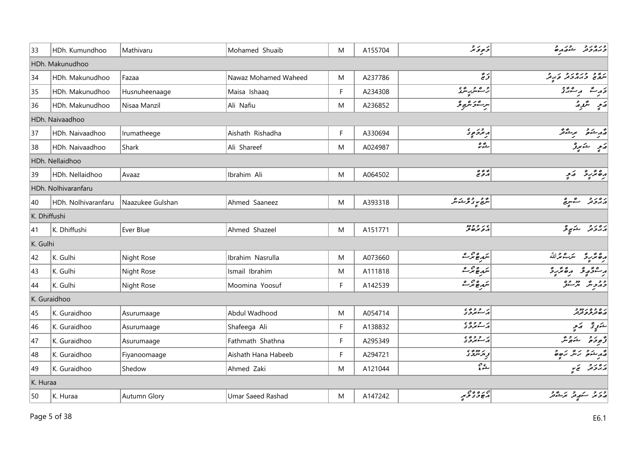| 33           | HDh. Kumundhoo      | Mathivaru        | Mohamed Shuaib           | M         | A155704 | ځوړې                                      | כנסנכ בנגם<br><i>כג</i> ובע <del>בנ</del> גם           |
|--------------|---------------------|------------------|--------------------------|-----------|---------|-------------------------------------------|--------------------------------------------------------|
|              | HDh. Makunudhoo     |                  |                          |           |         |                                           |                                                        |
| 34           | HDh. Makunudhoo     | Fazaa            | Nawaz Mohamed Waheed     | M         | A237786 | ترتج                                      | رو و د و د و د د د                                     |
| 35           | HDh. Makunudhoo     | Husnuheenaage    | Maisa Ishaaq             | F.        | A234308 | <sup>ج</sup> مەش <sub>رىپ</sub> ىترى      |                                                        |
| 36           | HDh. Makunudhoo     | Nisaa Manzil     | Ali Nafiu                | M         | A236852 | ىرىد <i>ۇ ئە</i> رىم ئى                   | ى ئىستى مەدەبىيىتى<br>ئىستىمى ئىستىدى<br>ئىستىمى ئىستى |
|              | HDh. Naivaadhoo     |                  |                          |           |         |                                           |                                                        |
| 37           | HDh. Naivaadhoo     | Irumatheege      | Aishath Rishadha         | F         | A330694 | ېر بر دې<br>بر بر دې                      | ة مشكرة المرشكة<br>أمام الشكر<br>أمام الشكرة           |
| 38           | HDh. Naivaadhoo     | Shark            | Ali Shareef              | M         | A024987 | يمجم                                      |                                                        |
|              | HDh. Nellaidhoo     |                  |                          |           |         |                                           |                                                        |
| 39           | HDh. Nellaidhoo     | Avaaz            | Ibrahim Ali              | M         | A064502 | پژی م                                     | رەتزىر كەير                                            |
|              | HDh. Nolhivaranfaru |                  |                          |           |         |                                           |                                                        |
| 40           | HDh. Nolhivaranfaru | Naazukee Gulshan | Ahmed Saaneez            | M         | A393318 | ى <i>گەنلى ئى</i> گەنگەنگە                | رەرو شىرچ                                              |
| K. Dhiffushi |                     |                  |                          |           |         |                                           |                                                        |
| 41           | K. Dhiffushi        | Ever Blue        | Ahmed Shazeel            | ${\sf M}$ | A151771 | ې ر د د دد<br>د و برحاب                   | رەر دېم ئىستى ئى                                       |
| K. Gulhi     |                     |                  |                          |           |         |                                           |                                                        |
| 42           | K. Gulhi            | Night Rose       | Ibrahim Nasrulla         | M         | A073660 | يتموه عمرت                                | مرە ئرىر ئىر ئىر ئىللە                                 |
| 43           | K. Gulhi            | Night Rose       | Ismail Ibrahim           | M         | A111818 | يتمه عجرت                                 |                                                        |
| 44           | K. Gulhi            | Night Rose       | Moomina Yoosuf           | F.        | A142539 | يتموه عمرت                                | כב היה יכנית<br>כבקי היה יצ                            |
|              | K. Guraidhoo        |                  |                          |           |         |                                           |                                                        |
| 45           | K. Guraidhoo        | Asurumaage       | Abdul Wadhood            | M         | A054714 | ر د د ده ،<br>پرسه پور د                  | ر ه و ه ر دد د<br>پره ترمزه ترتر                       |
| 46           | K. Guraidhoo        | Asurumaage       | Shafeega Ali             | F         | A138832 | ر و و ده ،<br>در سوبوری                   |                                                        |
| 47           | K. Guraidhoo        | Asurumaage       | Fathmath Shathna         | F         | A295349 | ر د د د ه ،<br>د سنورۍ                    | ڪريڙ گري<br>گروگر ڪري                                  |
| 48           | K. Guraidhoo        | Fiyanoomaage     | Aishath Hana Habeeb      | F.        | A294721 | ر دوم.<br>په شرچ د                        | مەر ئىق ئىر ئە                                         |
| 49           | K. Guraidhoo        | Shedow           | Ahmed Zaki               | M         | A121044 | شوم                                       | أرور و سميد                                            |
| K. Huraa     |                     |                  |                          |           |         |                                           |                                                        |
| 50           | K. Huraa            | Autumn Glory     | <b>Umar Saeed Rashad</b> | M         | A147242 | <i>م د ه ه</i> مي<br>د <i>کا د</i> د کرمړ | ور و کوپر ترشگ                                         |
|              |                     |                  |                          |           |         |                                           |                                                        |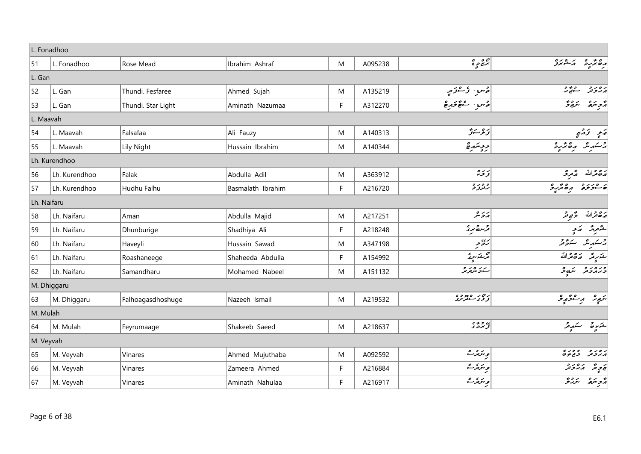|             | L. Fonadhoo   |                    |                   |             |         |                                                  |                                             |
|-------------|---------------|--------------------|-------------------|-------------|---------|--------------------------------------------------|---------------------------------------------|
| 51          | L. Fonadhoo   | Rose Mead          | Ibrahim Ashraf    | M           | A095238 | پر چ چ و و<br>  پر چ چ                           | رەئزىرو كەشىر                               |
| L. Gan      |               |                    |                   |             |         |                                                  |                                             |
| 52          | L. Gan        | Thundi. Fesfaree   | Ahmed Sujah       | ${\sf M}$   | A135219 | ج <sub>ىسمى</sub> ك <sub>ۈ</sub> ر مۇسىر         | ره رح و و و<br>درون رحمتی بر                |
| 53          | L. Gan        | Thundi. Star Light | Aminath Nazumaa   | $\mathsf F$ | A312270 |                                                  | أثرم شروع                                   |
| L. Maavah   |               |                    |                   |             |         |                                                  |                                             |
| 54          | L. Maavah     | Falsafaa           | Ali Fauzy         | ${\sf M}$   | A140313 | ژی ژری                                           | أتذمي ترترمي                                |
| 55          | L. Maavah     | <b>Lily Night</b>  | Hussain Ibrahim   | ${\sf M}$   | A140344 | و د سره ه<br>ر <sub>و</sub> سره                  |                                             |
|             | Lh. Kurendhoo |                    |                   |             |         |                                                  |                                             |
| 56          | Lh. Kurendhoo | Falak              | Abdulla Adil      | ${\sf M}$   | A363912 | وَىَوْما                                         | أرة مرالله كرمرمر                           |
| 57          | Lh. Kurendhoo | Hudhu Falhu        | Basmalath Ibrahim | F           | A216720 | و ور و<br>رفرو تر                                |                                             |
| Lh. Naifaru |               |                    |                   |             |         |                                                  |                                             |
| 58          | Lh. Naifaru   | Aman               | Abdulla Majid     | ${\sf M}$   | A217251 | برىر ھ                                           | برە داللە گەرد                              |
| 59          | Lh. Naifaru   | Dhunburige         | Shadhiya Ali      | F           | A218248 | و<br>ترسرچ سر <sup>ج</sup>                       | ے مورڈ کے لیے<br>سفورڈ کے لیے<br>پر کے موکو |
| 60          | Lh. Naifaru   | Haveyli            | Hussain Sawad     | M           | A347198 | ريى<br>رەبىر                                     |                                             |
| 61          | Lh. Naifaru   | Roashaneege        | Shaheeda Abdulla  | $\mathsf F$ | A154992 | ترڪسري                                           | فَعَرِمَّ دَهْ اللَّهُ                      |
| 62          | Lh. Naifaru   | Samandharu         | Mohamed Nabeel    | ${\sf M}$   | A151132 | ے پر 2 پر 2<br>سکوٹر مرکز مر                     | ورەرو شھۇ                                   |
|             | M. Dhiggaru   |                    |                   |             |         |                                                  |                                             |
| 63          | M. Dhiggaru   | Falhoagasdhoshuge  | Nazeeh Ismail     | M           | A219532 | ر <i>0 ر</i> _ 0 پر و ء<br>  تو ئو تر سه تعریبوی | شهره پرسومیو                                |
| M. Mulah    |               |                    |                   |             |         |                                                  |                                             |
| 64          | M. Mulah      | Feyrumaage         | Shakeeb Saeed     | M           | A218637 | په وي  په<br>  تو مور  ی                         | شَرَبِرة سَرْبِرْ                           |
| M. Veyvah   |               |                    |                   |             |         |                                                  |                                             |
| 65          | M. Veyvah     | Vinares            | Ahmed Mujuthaba   | ${\sf M}$   | A092592 | <sub>ع</sub> پئر <i>پڑ</i> ہے                    | ره رو درد<br>درگر دی                        |
| 66          | M. Veyvah     | Vinares            | Zameera Ahmed     | $\mathsf F$ | A216884 | <sub>حو</sub> سَر پر م                           | كالمحي مدارج المراجع                        |
| 67          | M. Veyvah     | <b>Vinares</b>     | Aminath Nahulaa   | F           | A216917 | <sub>ع</sub> پئر <i>پڑ</i> ہے                    | أأجاشهم المردعي                             |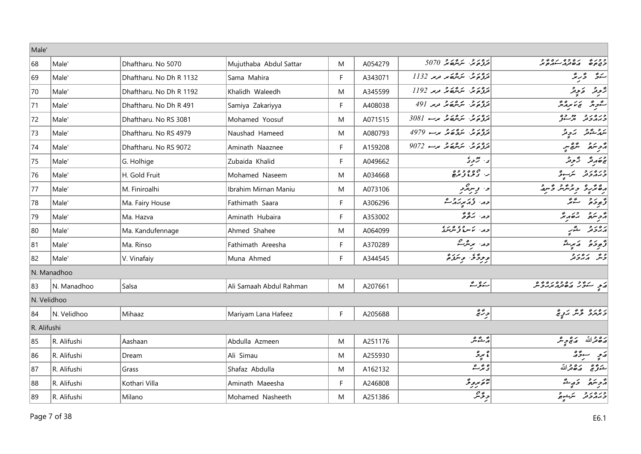| Male'       |             |                         |                         |             |         |                                            |                                                                   |
|-------------|-------------|-------------------------|-------------------------|-------------|---------|--------------------------------------------|-------------------------------------------------------------------|
| 68          | Male'       | Dhaftharu. No 5070      | Mujuthaba Abdul Sattar  | ${\sf M}$   | A054279 | قرۇم تى. شەھەتىر 5070                      | ر ٥ ر ٥ ر ٥ ر ٥<br>پرې تر پر سه دي بر<br>  3 د بر پر<br>  5 د ه ه |
| 69          | Male'       | Dhaftharu. No Dh R 1132 | Sama Mahira             | F           | A343071 | رەپ ئىر ئىس 1132                           | سَرَقَ _ قُرِيمًا                                                 |
| 70          | Male'       | Dhaftharu. No Dh R 1192 | Khalidh Waleedh         | ${\sf M}$   | A345599 | ترويجي. سَرْسْهُمْ تَرْسَ 1192             | تزوتر أووتر                                                       |
| 71          | Male'       | Dhaftharu. No Dh R 491  | Samiya Zakariyya        | F           | A408038 | دەر ج. سەھەتە بىر 491                      | كموش يمكيره و                                                     |
| 72          | Male'       | Dhaftharu. No RS 3081   | Mohamed Yoosuf          | M           | A071515 | تروم تمر. سَرْسْهُ تَمْرُ سِيْسِةِ 3081    | כנסגב בכפ<br><i>בג</i> ובע וק                                     |
| 73          | Male'       | Dhaftharu. No RS 4979   | Naushad Hameed          | ${\sf M}$   | A080793 | رەر د. سرچە تر سە 4979                     | ת בצב תבת                                                         |
| 74          | Male'       | Dhaftharu. No RS 9072   | Aminath Naaznee         | $\mathsf F$ | A159208 | تروم تى. ئىرتكەتتى بىر سە 9072             | وحريتكم التقاير                                                   |
| 75          | Male'       | G. Holhige              | Zubaida Khalid          | F           | A049662 | ى بەستىمىتى ئى                             | جھەر ئۇ ئۇر                                                       |
| 76          | Male'       | H. Gold Fruit           | Mohamed Naseem          | ${\sf M}$   | A034668 | 0,0000                                     | ورەرو شەرە                                                        |
| 77          | Male'       | M. Finiroalhi           | Ibrahim Mirnan Maniu    | ${\sf M}$   | A073106 | د· و مریژو                                 | رەتمرىر دىمگىر ئىبد                                               |
| 78          | Male'       | Ma. Fairy House         | Fathimath Saara         | F           | A306296 | دە. زەئىرىدە م                             | توجوخو ستمتر                                                      |
| 79          | Male'       | Ma. Hazva               | Aminath Hubaira         | F           | A353002 | وړ کره و                                   | הכתב הסתיב                                                        |
| 80          | Male'       | Ma. Kandufennage        | Ahmed Shahee            | ${\sf M}$   | A064099 | در . باس ده وره .                          | رەرد ئىگر                                                         |
| 81          | Male'       | Ma. Rinso               | Fathimath Areesha       | $\mathsf F$ | A370289 | جەر، برىرمى                                | وٌ وَ حَوَمَ مَ مَرِيشٌ                                           |
| 82          | Male'       | V. Vinafaiy             | Muna Ahmed              | $\mathsf F$ | A344545 | وودً و سره                                 | ويژ پرورو                                                         |
|             | N. Manadhoo |                         |                         |             |         |                                            |                                                                   |
| 83          | N. Manadhoo | Salsa                   | Ali Samaah Abdul Rahman | M           | A207661 | سەۋىشە                                     | و د د د ده ده ده ده وه                                            |
| N. Velidhoo |             |                         |                         |             |         |                                            |                                                                   |
| 84          | N. Velidhoo | Mihaaz                  | Mariyam Lana Hafeez     | F           | A205688 | حر شع                                      | رەرە ئەش ئەربى                                                    |
| R. Alifushi |             |                         |                         |             |         |                                            |                                                                   |
| 85          | R. Alifushi | Aashaan                 | Abdulla Azmeen          | ${\sf M}$   | A251176 | ر<br>مەنبەھەر                              | أرەقمەللە كەيم چە بىر                                             |
| 86          | R. Alifushi | Dream                   | Ali Simau               | ${\sf M}$   | A255930 | ہ<br>پی سرچ                                | $rac{1}{2}$                                                       |
| 87          | R. Alifushi | Grass                   | Shafaz Abdulla          | ${\sf M}$   | A162132 | ە ئەرم                                     | خورمج وكافرالله                                                   |
| 88          | R. Alifushi | Kothari Villa           | Aminath Maeesha         | F           | A246808 |                                            | مُتَحِسَمُ وَمِثَّةٌ                                              |
| 89          | R. Alifushi | Milano                  | Mohamed Nasheeth        | ${\sf M}$   | A251386 | ېيم بره <del>د گ</del><br>د مخينه<br>د څمک | ورەرو شرشي                                                        |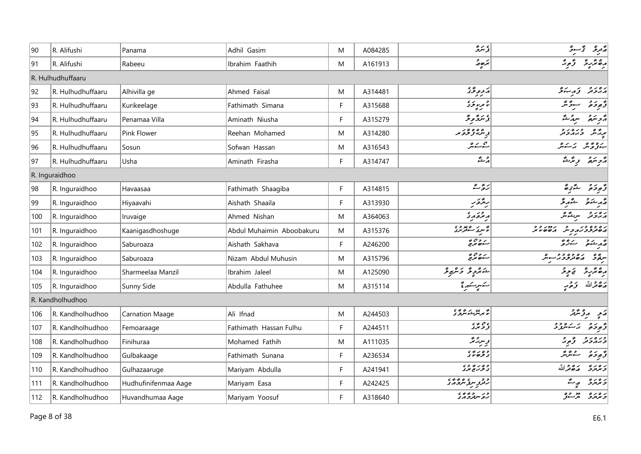| 90  | R. Alifushi       | Panama                 | Adhil Gasim               | M         | A084285 | ې پر پر<br>بو سرچ                       | ۇ بور ئۇسوۋ                                              |
|-----|-------------------|------------------------|---------------------------|-----------|---------|-----------------------------------------|----------------------------------------------------------|
| 91  | R. Alifushi       | Rabeeu                 | Ibrahim Faathih           | M         | A161913 | برەد                                    | ارەتمەرچ                                                 |
|     | R. Hulhudhuffaaru |                        |                           |           |         |                                         |                                                          |
| 92  | R. Hulhudhuffaaru | Alhivilla ge           | Ahmed Faisal              | M         | A314481 | در در در<br>  در در                     | أيهود وكرجو                                              |
| 93  | R. Hulhudhuffaaru | Kurikeelage            | Fathimath Simana          | F         | A315688 | ر<br>سرپرېږي کوي<br>سرپر                | ۋە ئەھم سىۋىتر                                           |
| 94  | R. Hulhudhuffaaru | Penamaa Villa          | Aminath Niusha            | F.        | A315279 | <br> د ئىردۇ <sub>م</sub> ۇ             |                                                          |
| 95  | R. Hulhudhuffaaru | <b>Pink Flower</b>     | Reehan Mohamed            | M         | A314280 | بويژه ژۇئۇرىر                           | ىر ئەس 1979-يە                                           |
| 96  | R. Hulhudhuffaaru | Sosun                  | Sofwan Hassan             | M         | A316543 | <u>م ئە</u> كەنگە                       | بەدە ئەسەر                                               |
| 97  | R. Hulhudhuffaaru | Usha                   | Aminath Firasha           | F         | A314747 | رژیئه                                   | أترجع وبرشة                                              |
|     | R. Inguraidhoo    |                        |                           |           |         |                                         |                                                          |
| 98  | R. Inguraidhoo    | Havaasaa               | Fathimath Shaagiba        | F         | A314815 | ر پۇشە                                  | ۇ بورۇ شۇقۇ                                              |
| 99  | R. Inguraidhoo    | Hiyaavahi              | Aishath Shaaila           | F.        | A313930 | رېژوَر                                  | مەرشكى شەرقى                                             |
| 100 | R. Inguraidhoo    | Iruvaige               | Ahmed Nishan              | M         | A364063 | وبرة وبرء                               | رەر تەرىئىگە                                             |
| 101 | R. Inguraidhoo    | Kaanigasdhoshuge       | Abdul Muhaimin Aboobakuru | M         | A315376 | ه سر ره پود و و<br>تا سری سستمبرسری     | 77/27/<br>ره وه ور<br>גەندىرىر كەرىپ                     |
| 102 | R. Inguraidhoo    | Saburoaza              | Aishath Sakhava           | F         | A246200 | ر بر د 0 پر<br>سه جدی                   | $\frac{22}{3}$ $\frac{2}{3}$ $\frac{2}{3}$ $\frac{1}{3}$ |
| 103 | R. Inguraidhoo    | Saburoaza              | Nizam Abdul Muhusin       | M         | A315796 | سەھ تىرىخ                               | سرقو رەدە دولىر                                          |
| 104 | R. Inguraidhoo    | Sharmeelaa Manzil      | Ibrahim Jaleel            | ${\sf M}$ | A125090 | جنرو و و مربو و                         | دەندىر قود                                               |
| 105 | R. Inguraidhoo    | Sunny Side             | Abdulla Fathuhee          | M         | A315114 | سەمىيە سەمىر ج                          | رە دالله كرم.                                            |
|     | R. Kandholhudhoo  |                        |                           |           |         |                                         |                                                          |
| 106 | R. Kandholhudhoo  | <b>Carnation Maage</b> | Ali Ifnad                 | M         | A244503 | ر<br>ما برېتون مرد د                    | ەئىر بروتىگىز                                            |
| 107 | R. Kandholhudhoo  | Femoaraage             | Fathimath Hassan Fulhu    | F         | A244511 | ه ۵ و ه<br>و <del>و</del> بو د          | و ده در دود.<br>ژوده دسترو                               |
| 108 | R. Kandholhudhoo  | Finihuraa              | Mohamed Fathih            | M         | A111035 | او مدرجيقه<br>پ                         |                                                          |
| 109 | R. Kandholhudhoo  | Gulbakaage             | Fathimath Sunana          | F         | A236534 | د و ر د  ،<br>د نره نړ                  | قرم و مقرش                                               |
| 110 | R. Kandholhudhoo  | Gulhazaaruge           | Mariyam Abdulla           | F         | A241941 | و ه ر پر و ،<br>د <del>ن</del> ورنځ بود | ەھىراللە<br>ر ه ر ه<br><del>ر</del> بربرو                |
| 111 | R. Kandholhudhoo  | Hudhufinifenmaa Aage   | Mariyam Easa              | F         | A242425 | 322 مرغ عر <i>وم</i> ة                  | د پر د همی په ش                                          |
| 112 | R. Kandholhudhoo  | Huvandhumaa Aage       | Mariyam Yoosuf            | F.        | A318640 | و ر په وه و ،<br>ره سرفرورۍ             | ן סיק פי בס<br>פיתו <i>ת כ</i>                           |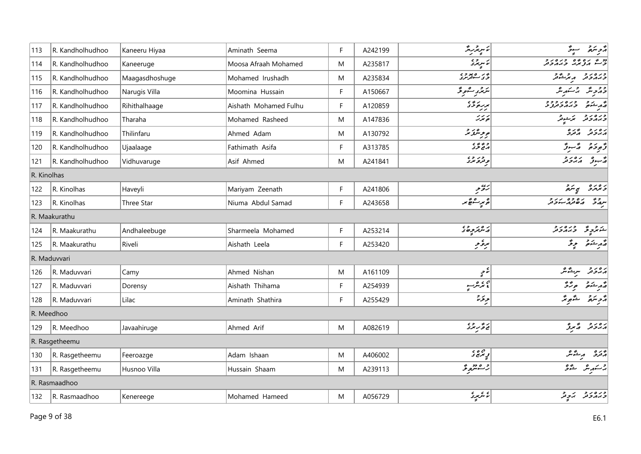| 113         | R. Kandholhudhoo | Kaneeru Hiyaa  | Aminath Seema         | F           | A242199 | ئەسرىترىرىتر<br>ئ                         | و په دره مسرمه<br>در کارون کارون |
|-------------|------------------|----------------|-----------------------|-------------|---------|-------------------------------------------|----------------------------------|
| 114         | R. Kandholhudhoo | Kaneeruge      | Moosa Afraah Mohamed  | ${\sf M}$   | A235817 | ر<br>ما مېږېږي                            | و د د ره ده دره د د              |
| 115         | R. Kandholhudhoo | Maagasdhoshuge | Mohamed Irushadh      | M           | A235834 | و رحمه د د ،<br>د د سه تر رد              | وره د و د مشور                   |
| 116         | R. Kandholhudhoo | Narugis Villa  | Moomina Hussain       | F           | A150667 | ىئر پر بە ھەر ئە                          | כתכית הביתית                     |
| 117         | R. Kandholhudhoo | Rihithalhaage  | Aishath Mohamed Fulhu | F           | A120859 | ا پر بر پر پر پر<br><u>بر بر پر پر پر</u> |                                  |
| 118         | R. Kandholhudhoo | Tharaha        | Mohamed Rasheed       | M           | A147836 | ە ئەرىر                                   | ورەرو كەنبەتر                    |
| 119         | R. Kandholhudhoo | Thilinfaru     | Ahmed Adam            | ${\sf M}$   | A130792 | امومرموزيز                                | رەر دىرە                         |
| 120         | R. Kandholhudhoo | Ujaalaage      | Fathimath Asifa       | F           | A313785 | و ۵ ۵ و<br>پر قع مو ی                     | وتجوختم المسرقر                  |
| 121         | R. Kandholhudhoo | Vidhuvaruge    | Asif Ahmed            | ${\sf M}$   | A241841 | <br>  حوفرح مرد                           | ە بەر بەردە                      |
| R. Kinolhas |                  |                |                       |             |         |                                           |                                  |
| 122         | R. Kinolhas      | Haveyli        | Mariyam Zeenath       | F           | A241806 | رىجى<br>رىخ                               | دەرە پېركە                       |
| 123         | R. Kinolhas      | Three Star     | Niuma Abdul Samad     | F           | A243658 | هو بېرىشقۇ بىر                            | 222020202020                     |
|             | R. Maakurathu    |                |                       |             |         |                                           |                                  |
| 124         | R. Maakurathu    | Andhaleebuge   | Sharmeela Mohamed     | $\mathsf F$ | A253214 | پر عربر و ۽                               |                                  |
| 125         | R. Maakurathu    | Riveli         | Aishath Leela         | F           | A253420 | ىرة و                                     |                                  |
|             | R. Maduvvari     |                |                       |             |         |                                           |                                  |
| 126         | R. Maduvvari     | Camy           | Ahmed Nishan          | ${\sf M}$   | A161109 | ءَ ج                                      | رەر يەرشەر<br>مەركى سرىشەر       |
| 127         | R. Maduvvari     | Dorensy        | Aishath Thihama       | F           | A254939 | م ، ه<br>محمد سر                          |                                  |
| 128         | R. Maduvvari     | Lilac          | Aminath Shathira      | F           | A255429 | وڈر                                       | أروسكم فتقوير                    |
|             | R. Meedhoo       |                |                       |             |         |                                           |                                  |
| 129         | R. Meedhoo       | Javaahiruge    | Ahmed Arif            | ${\sf M}$   | A082619 | ئے قریر تری                               | برەر د پرو                       |
|             | R. Rasgetheemu   |                |                       |             |         |                                           |                                  |
| 130         | R. Rasgetheemu   | Feeroazge      | Adam Ishaan           | ${\sf M}$   | A406002 | و ۵ <i>۵</i> ء<br>پ <sub>ي</sub> ر پرې    | وره مشمر<br>معرد مشمر            |
| 131         | R. Rasgetheemu   | Husnoo Villa   | Hussain Shaam         | ${\sf M}$   | A239113 | ر مەير <sub>ىم</sub> گە                   | جر سکھر ہے کہ جات                |
|             | R. Rasmaadhoo    |                |                       |             |         |                                           |                                  |
| 132         | R. Rasmaadhoo    | Kenereege      | Mohamed Hameed        | ${\sf M}$   | A056729 | ع مثر سر مح<br>  مذهب محمد                | ورەرو پەرو                       |
|             |                  |                |                       |             |         |                                           |                                  |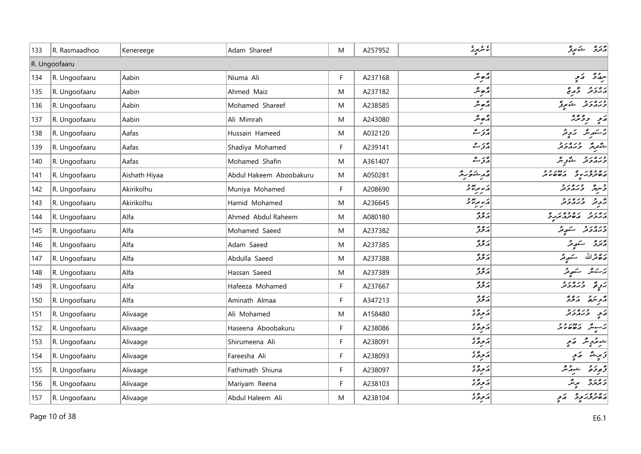| 133 | R. Rasmaadhoo | Kenereege     | Adam Shareef            | M           | A257952 | ع مثر پر <sup>ج</sup>  | شەمرىر<br>پر رہ<br>پر تورن                                                                         |
|-----|---------------|---------------|-------------------------|-------------|---------|------------------------|----------------------------------------------------------------------------------------------------|
|     | R. Ungoofaaru |               |                         |             |         |                        |                                                                                                    |
| 134 | R. Ungoofaaru | Aabin         | Niuma Ali               | F           | A237168 | رمح مگر                | $\frac{3}{6}$<br>$\frac{3}{6}$<br>$\frac{3}{6}$<br>$\frac{3}{6}$<br>$\frac{3}{6}$<br>$\frac{3}{6}$ |
| 135 | R. Ungoofaaru | Aabin         | Ahmed Maiz              | M           | A237182 | أرموسه                 |                                                                                                    |
| 136 | R. Ungoofaaru | Aabin         | Mohamed Shareef         | M           | A238585 | أرموسر                 | ىشەمرىۋ<br>و ر ه ر و<br>تر بر بر تر                                                                |
| 137 | R. Ungoofaaru | Aabin         | Ali Mimrah              | M           | A243080 | اړڻو پر                | ړې د دوبرو<br>د د دوبرو                                                                            |
| 138 | R. Ungoofaaru | Aafas         | Hussain Hameed          | M           | A032120 | لېزې                   |                                                                                                    |
| 139 | R. Ungoofaaru | Aafas         | Shadiya Mohamed         | F           | A239141 | ېز مه                  | شورة ورەرو                                                                                         |
| 140 | R. Ungoofaaru | Aafas         | Mohamed Shafin          | M           | A361407 | لئرز شه                | ورەرو شرىر                                                                                         |
| 141 | R. Ungoofaaru | Aishath Hiyaa | Abdul Hakeem Aboobakuru | M           | A050281 | پژېر مشوچ سرچر         | נפרנים נחנדה                                                                                       |
| 142 | R. Ungoofaaru | Akirikolhu    | Muniya Mohamed          | F           | A208690 | لەر بىر يېزىق          | 22022 2022                                                                                         |
| 143 | R. Ungoofaaru | Akirikolhu    | Hamid Mohamed           | M           | A236645 | ېزىدىندى<br>مەسرىيەنلە | أشوقر ورورو                                                                                        |
| 144 | R. Ungoofaaru | Alfa          | Ahmed Abdul Raheem      | M           | A080180 | رەپە                   | ره دو ده ده در و                                                                                   |
| 145 | R. Ungoofaaru | Alfa          | Mohamed Saeed           | M           | A237382 | پر ویچ                 | ورەرو سەر                                                                                          |
| 146 | R. Ungoofaaru | Alfa          | Adam Saeed              | M           | A237385 | رەپ                    | أردره كسرور                                                                                        |
| 147 | R. Ungoofaaru | Alfa          | Abdulla Saeed           | M           | A237388 | ره و                   | برء ترالله<br>سکھ تر                                                                               |
| 148 | R. Ungoofaaru | Alfa          | Hassan Saeed            | M           | A237389 | ره و                   | بركشش كتمرش                                                                                        |
| 149 | R. Ungoofaaru | Alfa          | Hafeeza Mohamed         | F.          | A237667 | ره و                   | برَوٍ يُورِ دِينِ                                                                                  |
| 150 | R. Ungoofaaru | Alfa          | Aminath Almaa           | F           | A347213 | پر ویچ                 | הכיטים הכב                                                                                         |
| 151 | R. Ungoofaaru | Alivaage      | Ali Mohamed             | M           | A158480 | پزیره ی                | أرو وره دو                                                                                         |
| 152 | R. Ungoofaaru | Alivaage      | Haseena Aboobakuru      | F           | A238086 | أتروهم                 |                                                                                                    |
| 153 | R. Ungoofaaru | Alivaage      | Shirumeena Ali          | F.          | A238091 | پر پر په<br>پر پورې    | جوهر <i>و مگر</i><br>مستقر کرده که مگر                                                             |
| 154 | R. Ungoofaaru | Alivaage      | Fareesha Ali            | F           | A238093 | أتروح                  | تر بريدً<br>ت<br>ەتىر                                                                              |
| 155 | R. Ungoofaaru | Alivaage      | Fathimath Shiuna        | $\mathsf F$ | A238097 | <br>  پر یوری          | و مر د<br>اگر مرد م<br>شود شر<br>ب                                                                 |
| 156 | R. Ungoofaaru | Alivaage      | Mariyam Reena           | $\mathsf F$ | A238103 | أتروه تا               | ر ه ر ه<br><del>و</del> بربرو                                                                      |
| 157 | R. Ungoofaaru | Alivaage      | Abdul Haleem Ali        | M           | A238104 | أتروح                  | رە دەپرور مې                                                                                       |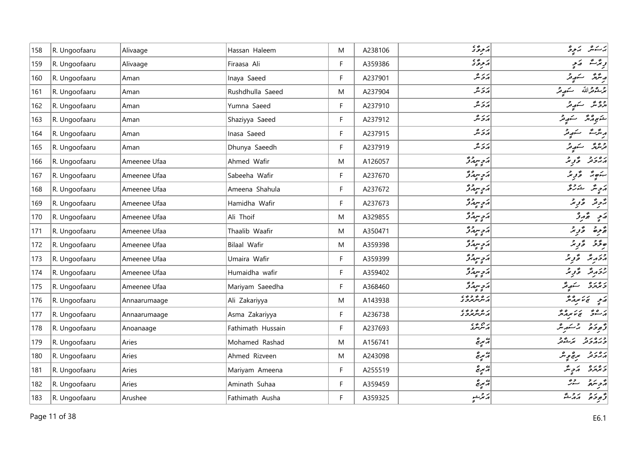| 158 | R. Ungoofaaru | Alivaage     | Hassan Haleem       | M         | A238106 | پر پر پر پر<br>پر بوری       | برسەيىتە<br>برَجودٌ                                      |
|-----|---------------|--------------|---------------------|-----------|---------|------------------------------|----------------------------------------------------------|
| 159 | R. Ungoofaaru | Alivaage     | Firaasa Ali         | F.        | A359386 | ە ئورى                       | ار پژتے<br>ا<br>ەكىپىيە                                  |
| 160 | R. Ungoofaaru | Aman         | Inaya Saeed         | F.        | A237901 | برىر ھ                       | وبثثر<br>سەمە قر                                         |
| 161 | R. Ungoofaaru | Aman         | Rushdhulla Saeed    | M         | A237904 | برىر ھ                       | برشورالله<br>ستهرقر                                      |
| 162 | R. Ungoofaaru | Aman         | Yumna Saeed         | F         | A237910 | برىر ھ                       | پرویٹر<br>سكورٍ تر                                       |
| 163 | R. Ungoofaaru | Aman         | Shaziyya Saeed      | F         | A237912 | برىر ھ                       | شەم بەر<br>شىم بەر<br>سكهرقر                             |
| 164 | R. Ungoofaaru | Aman         | Inasa Saeed         | F         | A237915 | برىر ھ                       | ەرىتزىشە<br>سە ھەقىر                                     |
| 165 | R. Ungoofaaru | Aman         | Dhunya Saeedh       | F         | A237919 | برىر ھ                       | و ه د<br>ترس<br>سەھەقىر                                  |
| 166 | R. Ungoofaaru | Ameenee Ufaa | Ahmed Wafir         | ${\sf M}$ | A126057 | پر <sub>ىپە س</sub> ورتى<br> | تەرىخى<br>ۇرىر                                           |
| 167 | R. Ungoofaaru | Ameenee Ufaa | Sabeeha Wafir       | F         | A237670 | ر<br>د په سروژ               | بنوء<br>ۇر بر                                            |
| 168 | R. Ungoofaaru | Ameenee Ufaa | Ameena Shahula      | F.        | A237672 | ر<br>دېږمبرو پې              | مزجر مثمر<br>شەرىخ                                       |
| 169 | R. Ungoofaaru | Ameenee Ufaa | Hamidha Wafir       | F         | A237673 | ړ <sub>وسر</sub> یږ<br>      | ر<br>بر گرونگر<br>ۇر بر                                  |
| 170 | R. Ungoofaaru | Ameenee Ufaa | Ali Thoif           | M         | A329855 |                              | چمری<br>رځينې                                            |
| 171 | R. Ungoofaaru | Ameenee Ufaa | Thaalib Waafir      | M         | A350471 | ړې سروسنې<br>د په من         | ۇرېر                                                     |
| 172 | R. Ungoofaaru | Ameenee Ufaa | <b>Bilaal Wafir</b> | M         | A359398 | ر<br>مۇسىمىرى                | $\frac{2}{3}$<br>$\frac{2}{3}$<br>$\frac{2}{3}$<br>ۇر بر |
| 173 | R. Ungoofaaru | Ameenee Ufaa | Umaira Wafir        | F         | A359399 | ېر پېړن <sup>و</sup>         | وزمر<br>ۇر بر                                            |
| 174 | R. Ungoofaaru | Ameenee Ufaa | Humaidha wafir      | F         | A359402 | ۇ بەيدۇ<br>ئ                 | ژ د گر گر<br>ځ نو مخه                                    |
| 175 | R. Ungoofaaru | Ameenee Ufaa | Mariyam Saeedha     | F.        | A368460 | ر<br>مۇسىرىر ق               | ر ه ر ه<br><del>ر</del> بربرو<br>سەرپەتر                 |
| 176 | R. Ungoofaaru | Annaarumaage | Ali Zakariyya       | M         | A143938 | ر ۵ ۶ ۶ ۶ و.<br>۸ سرسربرو د  | ړې <sub>ځ</sub> مکمرونگر                                 |
| 177 | R. Ungoofaaru | Annaarumaage | Asma Zakariyya      | F         | A236738 | ر ۵ ۶ ۶ و ۶<br>۸ سرسربرو ی   | رەپچ<br>ى ئەسرە بىر                                      |
| 178 | R. Ungoofaaru | Anoanaage    | Fathimath Hussain   | F         | A237693 | بر صرید ۽<br>مرس             | ا تو <sub>م</sub> حر حر                                  |
| 179 | R. Ungoofaaru | Aries        | Mohamed Rashad      | M         | A156741 | ار<br>مسيح                   | و ر ه ر د<br><i>و پر</i> پر تر<br>ىر شەتر                |
| 180 | R. Ungoofaaru | Aries        | Ahmed Rizveen       | M         | A243098 | نه مړينې<br>د پېړنې          | ىرچموپىر<br>پر ژ د تر                                    |
| 181 | R. Ungoofaaru | Aries        | Mariyam Ameena      | F         | A255519 | ار<br>مسيح                   | مەجەتىر<br>ر ه ر ه<br><del>ر</del> بربرگ                 |
| 182 | R. Ungoofaaru | Aries        | Aminath Suhaa       | F         | A359459 | ير<br>مرسمي                  | رحير<br>أرمز شرد                                         |
| 183 | R. Ungoofaaru | Arushee      | Fathimath Ausha     | F         | A359325 | وكمرتز شيو                   | توجدة ردوية                                              |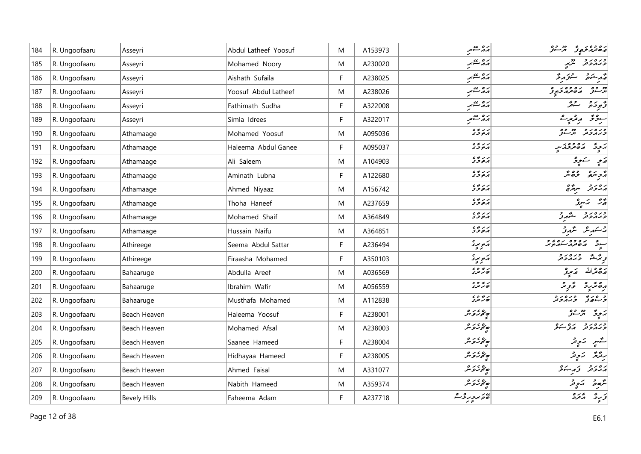| 184 | R. Ungoofaaru | Asseyri             | Abdul Latheef Yoosuf | M  | A153973 | لره يهمر                      | גם כם גם ככבים<br>הסטה בה ג ת-י          |
|-----|---------------|---------------------|----------------------|----|---------|-------------------------------|------------------------------------------|
| 185 | R. Ungoofaaru | Asseyri             | Mohamed Noory        | M  | A230020 | لئەرىئىمبر                    | ورەرو بەر                                |
| 186 | R. Ungoofaaru | Asseyri             | Aishath Sufaila      | F. | A238025 | لئەرىئىمىر                    | ۇرىشۇ سۇرۇ                               |
| 187 | R. Ungoofaaru | Asseyri             | Yoosuf Abdul Latheef | M  | A238026 | لره يىمبر                     | מ כם גם כסגם<br>ת-נ גם מגודלת ל          |
| 188 | R. Ungoofaaru | Asseyri             | Fathimath Sudha      | F  | A322008 | لروعيمر                       | ۇ <sub>ج</sub> ورى ئىز                   |
| 189 | R. Ungoofaaru | Asseyri             | Simla Idrees         | F  | A322017 | لرويمبر                       | سوۋۇ پەقرىرىشە                           |
| 190 | R. Ungoofaaru | Athamaage           | Mohamed Yoosuf       | M  | A095036 | بر بر بر بر<br>در بر بر بر    | כנסנים וכפס<br>כ <i>בהחכת ח</i> ל        |
| 191 | R. Ungoofaaru | Athamaage           | Haleema Abdul Ganee  | F  | A095037 | ر ر د »<br>پره <del>و</del> و |                                          |
| 192 | R. Ungoofaaru | Athamaage           | Ali Saleem           | M  | A104903 | پر پر پر<br>  پر پر پر        | ړې خود                                   |
| 193 | R. Ungoofaaru | Athamaage           | Aminath Lubna        | F  | A122680 | ر ر » ><br>  پره و د          | وەپر<br>و څخه سره                        |
| 194 | R. Ungoofaaru | Athamaage           | Ahmed Niyaaz         | M  | A156742 | ر ر د »<br>د ه د د            | پروژبر<br>سرچ                            |
| 195 | R. Ungoofaaru | Athamaage           | Thoha Haneef         | M  | A237659 | د ر ه ی<br>  د ه د د          | ۇر ئەيدۇ                                 |
| 196 | R. Ungoofaaru | Athamaage           | Mohamed Shaif        | M  | A364849 | ر ر د »<br>د ه د د            | ورەرو ئەگرو                              |
| 197 | R. Ungoofaaru | Athamaage           | Hussain Naifu        | M  | A364851 | ر ر د »<br>پره د د            | بر سکور شمیرز                            |
| 198 | R. Ungoofaaru | Athireege           | Seema Abdul Sattar   | F  | A236494 | ړ<br>مرموسو                   | 70000000000                              |
| 199 | R. Ungoofaaru | Athireege           | Firaasha Mohamed     | F  | A350103 | لأحومونكه                     | أويمث وره درد                            |
| 200 | R. Ungoofaaru | Bahaaruge           | Abdulla Areef        | M  | A036569 | ر پر و ،<br>ن <i>ن</i> تر د   | أشكام الله المستوفر                      |
| 201 | R. Ungoofaaru | Bahaaruge           | Ibrahim Wafir        | M  | A056559 | ر پر و ،<br>ن <i>خ</i> تر د   | رە ئرىر ئىرىم                            |
| 202 | R. Ungoofaaru | Bahaaruge           | Musthafa Mohamed     | M  | A112838 | ر پر و ،<br>ن <i>ن تر</i> د   | و رە ر د<br><i>د ت</i> ەرىر<br>د په پروگ |
| 203 | R. Ungoofaaru | Beach Heaven        | Haleema Yoosuf       | F  | A238001 | پەنزىر بىر                    | ر<br>برمړينې پېړ ده و                    |
| 204 | R. Ungoofaaru | Beach Heaven        | Mohamed Afsal        | M  | A238003 | پەنزىر مە                     | ورەرو رورو                               |
| 205 | R. Ungoofaaru | Beach Heaven        | Saanee Hameed        | F  | A238004 | پەنزىر بىر                    | سمسم برکار مر                            |
| 206 | R. Ungoofaaru | <b>Beach Heaven</b> | Hidhayaa Hameed      | F. | A238005 | پەنزىر بىر                    | رِمَّرْ مَرَّ مِرْ مِرْ                  |
| 207 | R. Ungoofaaru | Beach Heaven        | Ahmed Faisal         | M  | A331077 | پەن <sub>م</sub> رىر بىر      |                                          |
| 208 | R. Ungoofaaru | Beach Heaven        | Nabith Hameed        | M  | A359374 | ھەممىرى مىر<br> -             | شهوم برديد                               |
| 209 | R. Ungoofaaru | <b>Bevely Hills</b> | Faheema Adam         | F  | A237718 | ە ئەرىپە يەھ ب<br>مۇسىر ئەر   | ترری پرده                                |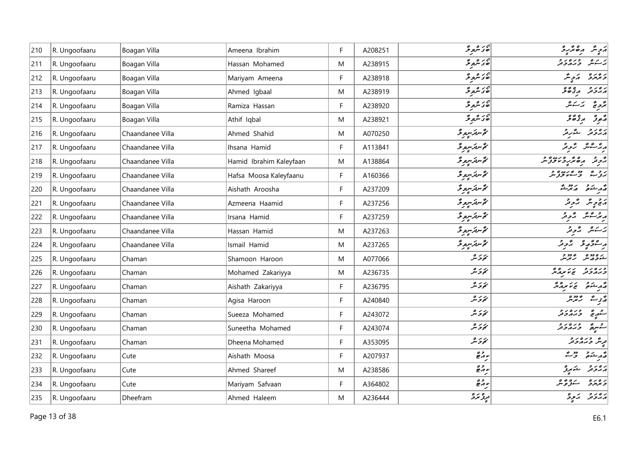| 210 | R. Ungoofaaru | Boagan Villa     | Ameena Ibrahim          | F         | A208251 | صى متر <sub>عر</sub> محر                                                       | ړَ په ره ټر د                                     |
|-----|---------------|------------------|-------------------------|-----------|---------|--------------------------------------------------------------------------------|---------------------------------------------------|
| 211 | R. Ungoofaaru | Boagan Villa     | Hassan Mohamed          | ${\sf M}$ | A238915 | صى متر <sub>م</sub> و محر                                                      | و ر ه ر و<br>تر پروتر<br>برَسەپىر                 |
| 212 | R. Ungoofaaru | Boagan Villa     | Mariyam Ameena          | F         | A238918 | 22 يىمبرى <del>گە</del>                                                        | ر ه ر ه<br>د بربرگ<br>ړې پر                       |
| 213 | R. Ungoofaaru | Boagan Villa     | Ahmed Igbaal            | M         | A238919 | ەر مەھ <sub>م</sub> ۇ                                                          | د توڅو<br>ر ه ر د<br>م.ر <del>د</del> تر          |
| 214 | R. Ungoofaaru | Boagan Villa     | Ramiza Hassan           | F         | A238920 | 2 كەشھ <b>رى</b> تە                                                            | برسەپىر<br>بَرُّحِرِّيَّ                          |
| 215 | R. Ungoofaaru | Boagan Villa     | Athif Iqbal             | ${\sf M}$ | A238921 | ەر ە <sub>ھ</sub> وقە                                                          | لصفحوقر<br>د ڏهڻو                                 |
| 216 | R. Ungoofaaru | Chaandanee Villa | Ahmed Shahid            | ${\sf M}$ | A070250 | ڭۇسىترسرە ئە                                                                   | رەر دىگەر                                         |
| 217 | R. Ungoofaaru | Chaandanee Villa | Ihsana Hamid            | F         | A113841 | ڭۇسىترسموقە                                                                    | ەرشەشقىر شەرقە                                    |
| 218 | R. Ungoofaaru | Chaandanee Villa | Hamid Ibrahim Kaleyfaan | ${\sf M}$ | A138864 | ڭۇسىترىپرىتر                                                                   | ر<br>پروتر بر <i>ه پژرو نامو</i> ژ س              |
| 219 | R. Ungoofaaru | Chaandanee Villa | Hafsa Moosa Kaleyfaanu  | F         | A160366 | ڭۇسىترسمو قە                                                                   | دو په ري په د<br>د کارکالوژنتن<br>برويجه          |
| 220 | R. Ungoofaaru | Chaandanee Villa | Aishath Aroosha         | F.        | A237209 | كۇستىر سوڭ                                                                     |                                                   |
| 221 | R. Ungoofaaru | Chaandanee Villa | Azmeena Haamid          | F         | A237256 | ر<br>ئۇستىر س <sub>ىر</sub>                                                    | ړ جمړ پر پر در                                    |
| 222 | R. Ungoofaaru | Chaandanee Villa | Irsana Hamid            | F         | A237259 | ڭۇسىترسموقە                                                                    | مەسىر ئىشىر ئىرىتىر                               |
| 223 | R. Ungoofaaru | Chaandanee Villa | Hassan Hamid            | ${\sf M}$ | A237263 | ڭۇستىر سرەپە ق                                                                 | برسكش برجم                                        |
| 224 | R. Ungoofaaru | Chaandanee Villa | Ismail Hamid            | ${\sf M}$ | A237265 | ڭۇسىرسو ئە                                                                     | ر شۇمۇ ئەر                                        |
| 225 | R. Ungoofaaru | Chaman           | Shamoon Haroon          | ${\sf M}$ | A077066 | ىئەر بىر                                                                       | شەھ جەمىر<br>پر دو و<br>رئيونس                    |
| 226 | R. Ungoofaaru | Chaman           | Mohamed Zakariyya       | ${\sf M}$ | A236735 | ىئە ئەشر                                                                       | כנסנכ נגסים                                       |
| 227 | R. Ungoofaaru | Chaman           | Aishath Zakariyya       | F         | A236795 | ىمەر بىر                                                                       | anxie zina                                        |
| 228 | R. Ungoofaaru | Chaman           | Agisa Haroon            | F         | A240840 | ىجە خەشر                                                                       | وتمتح يتشم<br>یر دو ه<br>رنجو س                   |
| 229 | R. Ungoofaaru | Chaman           | Sueeza Mohamed          | F         | A243072 | ىئەر بىر                                                                       | و ر ه ر د<br><i>و پر پ</i> رتر<br>تەرىج           |
| 230 | R. Ungoofaaru | Chaman           | Suneetha Mohamed        | F         | A243074 | ىئەر بىر                                                                       | سەمبەر<br>و رە ر د<br>تر پروتر                    |
| 231 | R. Ungoofaaru | Chaman           | Dheena Mohamed          | F         | A353095 | ىئەر بىر                                                                       | ورنگر و بره بر و                                  |
| 232 | R. Ungoofaaru | Cute             | Aishath Moosa           | F         | A207937 | $\stackrel{o}{\phantom{e}}\stackrel{o}{\phantom{e}}\hspace{-1.5pt}\mathscr{N}$ | ړ کمر شکو د د مخ                                  |
| 233 | R. Ungoofaaru | Cute             | Ahmed Shareef           | ${\sf M}$ | A238586 | سرقي                                                                           | رەر ئەتەر<br>مەدەر ئىمرۇ                          |
| 234 | R. Ungoofaaru | Cute             | Mariyam Safvaan         | F         | A364802 | $\stackrel{\scriptstyle o~\scriptstyle o~\scriptstyle o}{\scriptstyle\sim}$    | ره و ه<br>سور تر<br>ر ه ر ه<br><del>ر</del> بربرو |
| 235 | R. Ungoofaaru | Dheefram         | Ahmed Haleem            | ${\sf M}$ | A236444 | ىر ژىمەد<br>ئە                                                                 | رەر ئەبە                                          |
|     |               |                  |                         |           |         |                                                                                |                                                   |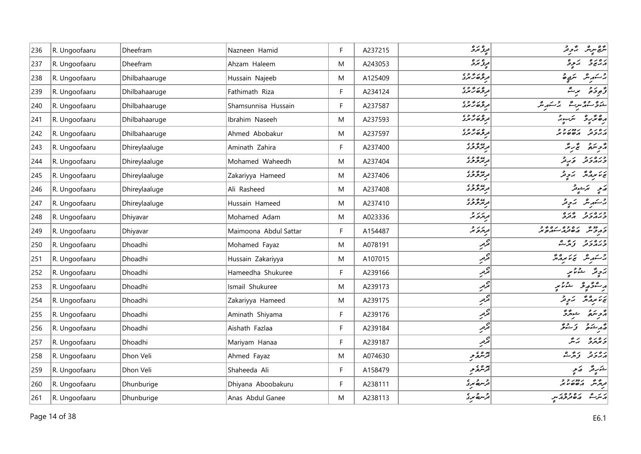| 236 | R. Ungoofaaru | Dheefram      | Nazneen Hamid         | F         | A237215 | مړی تر د                                | لترتج لبرند المجموقر             |
|-----|---------------|---------------|-----------------------|-----------|---------|-----------------------------------------|----------------------------------|
| 237 | R. Ungoofaaru | Dheefram      | Ahzam Haleem          | ${\sf M}$ | A243053 | مروحر و                                 | أبروبره                          |
| 238 | R. Ungoofaaru | Dhilbahaaruge | Hussain Najeeb        | ${\sf M}$ | A125409 | و د بر و د<br>ترنژه ر بر د              | جرحتمر شريع كمحمج كالمحمد        |
| 239 | R. Ungoofaaru | Dhilbahaaruge | Fathimath Riza        | F         | A234124 | و د بر و ،<br>درمون تر بر <sub>ک</sub>  | توجوده برقة                      |
| 240 | R. Ungoofaaru | Dhilbahaaruge | Shamsunnisa Hussain   | F         | A237587 | و در ۶ و ۷<br>ترنون تر بو ۲             | شور دەسرىش بركىمىش               |
| 241 | R. Ungoofaaru | Dhilbahaaruge | Ibrahim Naseeh        | M         | A237593 | ه در ۶ و ۷<br>ترنژه رنگری               | ە ھەترىر <sup>ە</sup><br>سكرسبور |
| 242 | R. Ungoofaaru | Dhilbahaaruge | Ahmed Abobakur        | ${\sf M}$ | A237597 | ه در ۶ و ۷<br>درگر <i>ه ر</i> برو       | 22/22/<br>ر ە ر د<br>م.ئرىر تىر  |
| 243 | R. Ungoofaaru | Dhireylaaluge | Aminath Zahira        | F         | A237400 | د پر و د<br>در تر تر و د                | أأزجر سنتعج أتربتم               |
| 244 | R. Ungoofaaru | Dhireylaaluge | Mohamed Waheedh       | ${\sf M}$ | A237404 | و ۵ <i>۵ و</i> ۶<br>ت <i>و</i> نونوگوی  | ورەرو كەيتر                      |
| 245 | R. Ungoofaaru | Dhireylaaluge | Zakariyya Hameed      | M         | A237406 | د پژگر ژ د چ                            | בל בחיר הבבר                     |
| 246 | R. Ungoofaaru | Dhireylaaluge | Ali Rasheed           | M         | A237408 | و پر بھر و <sup>ج</sup><br>فرنگر بخر پی | أرشح التمر الشوقر                |
| 247 | R. Ungoofaaru | Dhireylaaluge | Hussain Hameed        | ${\sf M}$ | A237410 | و پر بھر و <sup>ج</sup><br>فرنگر بخر پی | چە سەر بىر بە بەر بە             |
| 248 | R. Ungoofaaru | Dhiyavar      | Mohamed Adam          | ${\sf M}$ | A023336 | تر پر بر ح                              | כנסנכ שנם<br>כמהכנה הנקב         |
| 249 | R. Ungoofaaru | Dhiyavar      | Maimoona Abdul Sattar | F         | A154487 | وپر <i>کر</i> تر                        | נ חדש נסכם נסשכ                  |
| 250 | R. Ungoofaaru | Dhoadhi       | Mohamed Fayaz         | ${\sf M}$ | A078191 | ر<br>فرمبر                              | ورەرو روپ                        |
| 251 | R. Ungoofaaru | Dhoadhi       | Hussain Zakariyya     | ${\sf M}$ | A107015 | ە<br>مۇمر                               | ב הונית הוותרות                  |
| 252 | R. Ungoofaaru | Dhoadhi       | Hameedha Shukuree     | F         | A239166 | لقبير                                   | أبرجونش المشروحين                |
| 253 | R. Ungoofaaru | Dhoadhi       | Ismail Shukuree       | ${\sf M}$ | A239173 | لقرمر                                   | ر شۇرۇ شىرىم                     |
| 254 | R. Ungoofaaru | Dhoadhi       | Zakariyya Hameed      | M         | A239175 | جمعر                                    |                                  |
| 255 | R. Ungoofaaru | Dhoadhi       | Aminath Shiyama       | F         | A239176 | اچ<br>مر                                | ו ביתו ליובר.<br>ג'ב יתוד ליובר  |
| 256 | R. Ungoofaaru | Dhoadhi       | Aishath Fazlaa        | F         | A239184 | اچ<br>محمد                              | ەربەق ئەسىۋ                      |
| 257 | R. Ungoofaaru | Dhoadhi       | Mariyam Hanaa         | F         | A239187 | لقمعر                                   | رەرە بەر                         |
| 258 | R. Ungoofaaru | Dhon Veli     | Ahmed Fayaz           | ${\sf M}$ | A074630 | بده ،<br>ترسره م                        | پروژو<br>تو پژ شه                |
| 259 | R. Ungoofaaru | Dhon Veli     | Shaheeda Ali          | F         | A158479 | تحرره عر                                | لمشربة أركمني                    |
| 260 | R. Ungoofaaru | Dhunburige    | Dhiyana Aboobakuru    | F         | A238111 | قرسرة مرد                               | 77777<br>ورژٌ مَرٌ               |
| 261 | R. Ungoofaaru | Dhunburige    | Anas Abdul Ganee      | ${\sf M}$ | A238113 | قرسرة بركح                              | أرتره رەمودىر                    |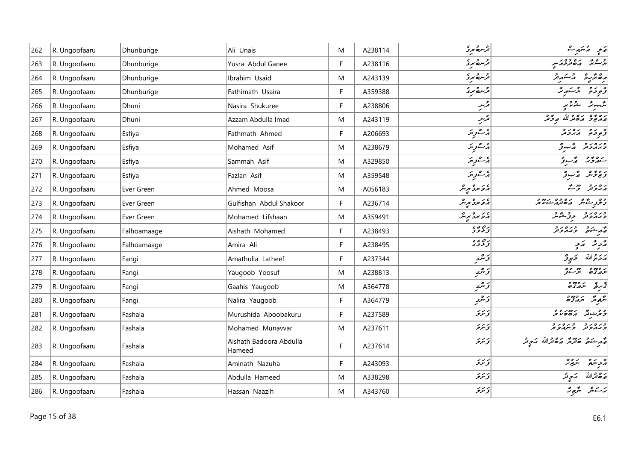| 262 | R. Ungoofaaru | Dhunburige  | Ali Unais                         | ${\sf M}$ | A238114 | قرس صحيحه كا                       | أوسمج ومستعرب                                   |
|-----|---------------|-------------|-----------------------------------|-----------|---------|------------------------------------|-------------------------------------------------|
| 263 | R. Ungoofaaru | Dhunburige  | Yusra Abdul Ganee                 | F         | A238116 | و<br>ترسرچ بر <sub>ک</sub>         | و و د ده دود س                                  |
| 264 | R. Ungoofaaru | Dhunburige  | Ibrahim Usaid                     | M         | A243139 | و<br>ترسرچ بر <sub>ک</sub>         | مەھمىر ئەسىمىد                                  |
| 265 | R. Ungoofaaru | Dhunburige  | Fathimath Usaira                  | F         | A359388 | و<br>ترسرچ <sub>محر</sub> ي        | توجو المسكر                                     |
| 266 | R. Ungoofaaru | Dhuni       | Nasira Shukuree                   | F         | A238806 | قرسر                               | ىترىبوتتى ھەمزىر<br>مىزلىرىتى ھەمزىر            |
| 267 | R. Ungoofaaru | Dhuni       | Azzam Abdulla Imad                | M         | A243119 | قدمىر                              | مصريح مكافرالله محمد                            |
| 268 | R. Ungoofaaru | Esfiya      | Fathmath Ahmed                    | F         | A206693 | ې ش <sub>وپ</sub> ر                | و دو ده دور                                     |
| 269 | R. Ungoofaaru | Esfiya      | Mohamed Asif                      | M         | A238679 | لرمشور                             | ورەر دەسۇ                                       |
| 270 | R. Ungoofaaru | Esfiya      | Sammah Asif                       | M         | A329850 | لرمشور                             | سەمدىي ھەسىر                                    |
| 271 | R. Ungoofaaru | Esfiya      | Fazlan Asif                       | M         | A359548 | ومشوبر                             | كەن ئەسىر                                       |
| 272 | R. Ungoofaaru | Ever Green  | Ahmed Moosa                       | M         | A056183 | ە ئەسرە بېرىشە<br>مەم ئەسرىي بېرىش | رەر دەر                                         |
| 273 | R. Ungoofaaru | Ever Green  | Gulfishan Abdul Shakoor           | F         | A236714 | <i>، د پره پر</i> يگر              | وه موسطور مرده دود و<br>د گروشو می از استفاد می |
| 274 | R. Ungoofaaru | Ever Green  | Mohamed Lifshaan                  | ${\sf M}$ | A359491 | ە ئەسرە سەبىر                      | ورەرو دۇشكەر                                    |
| 275 | R. Ungoofaaru | Falhoamaage | Aishath Mohamed                   | F         | A238493 | ر 0 ء ،<br>و د 5 د                 |                                                 |
| 276 | R. Ungoofaaru | Falhoamaage | Amira Ali                         | F         | A238495 | ر 0 پر ت<br>تو نونژ ی              | أوالمحر محمد أأتراضي                            |
| 277 | R. Ungoofaaru | Fangi       | Amathulla Latheef                 | F         | A237344 | ئر شربه                            | ترترة الله تحييو                                |
| 278 | R. Ungoofaaru | Fangi       | Yaugoob Yoosuf                    | M         | A238813 | ۇ ئىرىمە                           | ېز يە دە<br>ן כבב ב<br>חלומי ביס                |
| 279 | R. Ungoofaaru | Fangi       | Gaahis Yaugoob                    | M         | A364778 | ۇ ئىر                              | کچ ده مروج ده<br>گورهی مروری                    |
| 280 | R. Ungoofaaru | Fangi       | Nalira Yaugoob                    | F         | A364779 | لخرشمر                             | شمېر رودو                                       |
| 281 | R. Ungoofaaru | Fashala     | Murushida Aboobakuru              | F         | A237589 | ۇتزى                               | ככביל מספטית<br>כילייני ומספטית                 |
| 282 | R. Ungoofaaru | Fashala     | Mohamed Munavvar                  | M         | A237611 | ترىزى                              |                                                 |
| 283 | R. Ungoofaaru | Fashala     | Aishath Badoora Abdulla<br>Hameed | F         | A237614 | ترىزى                              | ح مردو بردو برووالله برو د                      |
| 284 | R. Ungoofaaru | Fashala     | Aminath Nazuha                    | F         | A243093 | ۇتزى                               |                                                 |
| 285 | R. Ungoofaaru | Fashala     | Abdulla Hameed                    | ${\sf M}$ | A338298 | ۇتزى                               | بره والله برومر                                 |
| 286 | R. Ungoofaaru | Fashala     | Hassan Naazih                     | M         | A343760 | ۇتزى                               | يركشش الشيئ                                     |
|     |               |             |                                   |           |         |                                    |                                                 |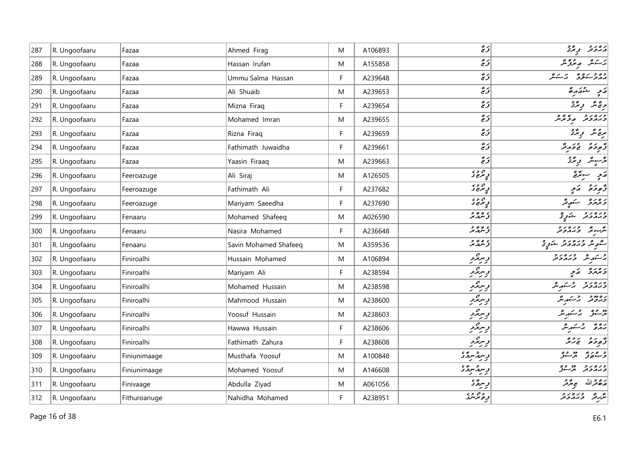| 287 | R. Ungoofaaru | Fazaa        | Ahmed Firag           | M           | A106893 | ترتج                            | ره رو و پژو                                                                                      |
|-----|---------------|--------------|-----------------------|-------------|---------|---------------------------------|--------------------------------------------------------------------------------------------------|
| 288 | R. Ungoofaaru | Fazaa        | Hassan Irufan         | M           | A155858 | ترتج                            | ير سىرى مەركەنلىر<br>  ير سىرى مەركەنلىر                                                         |
| 289 | R. Ungoofaaru | Fazaa        | Ummu Salma Hassan     | F.          | A239648 | تریخ                            | دەر بەدى بەيدى                                                                                   |
| 290 | R. Ungoofaaru | Fazaa        | Ali Shuaib            | M           | A239653 | ترتج                            | $rac{1}{2}$                                                                                      |
| 291 | R. Ungoofaaru | Fazaa        | Mizna Firaq           | $\mathsf F$ | A239654 | ترتج                            | دع مثر ويژة                                                                                      |
| 292 | R. Ungoofaaru | Fazaa        | Mohamed Imran         | M           | A239655 | ترتج                            | و ر ه ر د<br>تر پر ټر تر<br>وبرمحيش                                                              |
| 293 | R. Ungoofaaru | Fazaa        | Rizna Firaq           | $\mathsf F$ | A239659 | ترتج                            | برة مثمر ويتزقه                                                                                  |
| 294 | R. Ungoofaaru | Fazaa        | Fathimath Juwaidha    | F           | A239661 | ترتج                            | والمجمع والمحمد والمحمد والمراكض                                                                 |
| 295 | R. Ungoofaaru | Fazaa        | Yaasin Firaaq         | M           | A239663 | تریخ                            | ېم سومله لومړينې<br>مرس                                                                          |
| 296 | R. Ungoofaaru | Feeroazuge   | Ali Siraj             | M           | A126505 | و ۶ د ،<br>پوټرې د              | $\begin{array}{cc} 2\overset{\circ}{\mathscr{L}}&\quad \  \  \mathscr{L}\rightarrow \end{array}$ |
| 297 | R. Ungoofaaru | Feeroazuge   | Fathimath Ali         | F           | A237682 | و ه و ۽<br>پي مريج و            | وٌودَهُ کَمَرٍ                                                                                   |
| 298 | R. Ungoofaaru | Feeroazuge   | Mariyam Saeedha       | F           | A237690 | د ۶ و ۽<br>پي تريج <sub>ک</sub> | ر ه ر ه<br><del>و</del> بربرو<br>سەرپەتىر                                                        |
| 299 | R. Ungoofaaru | Fenaaru      | Mohamed Shafeeq       | M           | A026590 | ې ۵ پر د                        | ورەر دېم ئىر                                                                                     |
| 300 | R. Ungoofaaru | Fenaaru      | Nasira Mohamed        | $\mathsf F$ | A236648 | ې ه ۶ د<br>تر سرچمن             | شهر ورەرد                                                                                        |
| 301 | R. Ungoofaaru | Fenaaru      | Savin Mohamed Shafeeq | M           | A359536 | ې ه ۶ د<br>تر سمه بر            | كموش وبهادة كورة                                                                                 |
| 302 | R. Ungoofaaru | Finiroalhi   | Hussain Mohamed       | M           | A106894 | و سر پژو                        | ج سکه شده و بره در و                                                                             |
| 303 | R. Ungoofaaru | Finiroalhi   | Mariyam Ali           | F           | A238594 | وببرچو                          | و وره دي                                                                                         |
| 304 | R. Ungoofaaru | Finiroalhi   | Mohamed Hussain       | M           | A238598 | وسرچو                           |                                                                                                  |
| 305 | R. Ungoofaaru | Finiroalhi   | Mahmood Hussain       | M           | A238600 | وسرچمو                          | رەددو جرم مى                                                                                     |
| 306 | R. Ungoofaaru | Finiroalhi   | Yoosuf Hussain        | M           | A238603 | وسرچمو                          | در ده جر شهر مگر                                                                                 |
| 307 | R. Ungoofaaru | Finiroalhi   | Hawwa Hussain         | F.          | A238606 | وببرچو                          | رەپ جەسكەنگە                                                                                     |
| 308 | R. Ungoofaaru | Finiroalhi   | Fathimath Zahura      | F           | A238608 | وسرچمو                          | توپر دیگر                                                                                        |
| 309 | R. Ungoofaaru | Finiunimaage | Musthafa Yoosuf       | M           | A100848 | و سرچسرچ ځ                      | و مره پوروه<br>د سورو پر سر                                                                      |
| 310 | R. Ungoofaaru | Finiunimaage | Mohamed Yoosuf        | M           | A146608 | و سره سرچ <sup>ی</sup>          | ېژىستۇ<br>و رە ر د<br>تر پر تر تر                                                                |
| 311 | R. Ungoofaaru | Finivaage    | Abdulla Ziyad         | M           | A061056 | او مدینې<br>پ                   | ره و الله به <del>م</del> رمز                                                                    |
| 312 | R. Ungoofaaru | Fithuroanuge | Nahidha Mohamed       | F           | A238951 | وه بر ده                        | شرق ورەرد                                                                                        |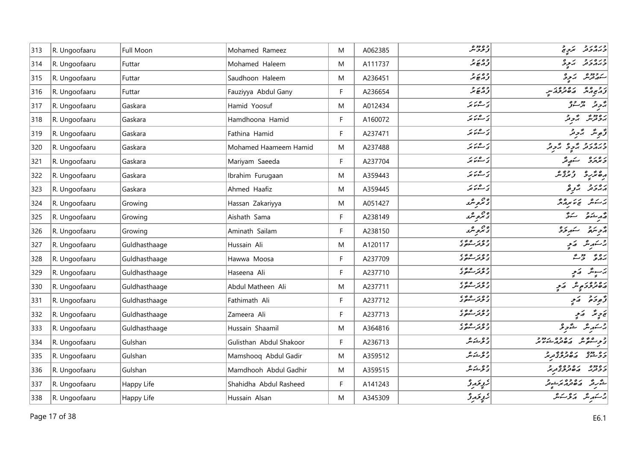| 313 | R. Ungoofaaru | Full Moon         | Mohamed Rameez          | M         | A062385 | د ه دد ه<br>نو مرد مگر                                | כנסנכ גב                                                                                                                                                                                                                        |
|-----|---------------|-------------------|-------------------------|-----------|---------|-------------------------------------------------------|---------------------------------------------------------------------------------------------------------------------------------------------------------------------------------------------------------------------------------|
| 314 | R. Ungoofaaru | Futtar            | Mohamed Haleem          | ${\sf M}$ | A111737 | و <i>۵ ۵ م</i> ر<br>تر <i>مر</i> یح تنر               | ورور و بروه                                                                                                                                                                                                                     |
| 315 | R. Ungoofaaru | Futtar            | Saudhoon Haleem         | ${\sf M}$ | A236451 | ز د ع تر<br>تر د <i>ع</i>                             | ے ووور کے برو                                                                                                                                                                                                                   |
| 316 | R. Ungoofaaru | Futtar            | Fauziyya Abdul Gany     | F         | A236654 | وه ر د<br>زرج بر                                      | נגים הם גם כפה ת                                                                                                                                                                                                                |
| 317 | R. Ungoofaaru | Gaskara           | Hamid Yoosuf            | M         | A012434 | ر 2 مئ <i>ائ</i> ر                                    | ړٌ د په دی و                                                                                                                                                                                                                    |
| 318 | R. Ungoofaaru | Gaskara           | Hamdhoona Hamid         | F         | A160072 | ىر ھەئەبىر                                            | رەددىش بۇرو                                                                                                                                                                                                                     |
| 319 | R. Ungoofaaru | Gaskara           | Fathina Hamid           | F         | A237471 | ى سەندىكە                                             | ۇي ئىگە ئەرىر                                                                                                                                                                                                                   |
| 320 | R. Ungoofaaru | Gaskara           | Mohamed Haameem Hamid   | ${\sf M}$ | A237488 | ر 2 مەر<br>ئەسىرىمىر                                  | ورورو روو رود                                                                                                                                                                                                                   |
| 321 | R. Ungoofaaru | Gaskara           | Mariyam Saeeda          | F         | A237704 | ىر ھەيزىر                                             | رەرە سەرقە                                                                                                                                                                                                                      |
| 322 | R. Ungoofaaru | Gaskara           | Ibrahim Furugaan        | ${\sf M}$ | A359443 | ىر ھەيزىر                                             | وهنزره وديمق                                                                                                                                                                                                                    |
| 323 | R. Ungoofaaru | Gaskara           | Ahmed Haafiz            | ${\sf M}$ | A359445 | ى سەمدىمە                                             | رەرد ئېرە                                                                                                                                                                                                                       |
| 324 | R. Ungoofaaru | Growing           | Hassan Zakariyya        | M         | A051427 | د ټر <sub>عر</sub> شه                                 | يُرَسَمَّسُ بِجَامَعِهِ مَعْ                                                                                                                                                                                                    |
| 325 | R. Ungoofaaru | Growing           | Aishath Sama            | F         | A238149 | د ټر <sub>عر</sub> مثر د                              | ۇرىشق سۇ                                                                                                                                                                                                                        |
| 326 | R. Ungoofaaru | Growing           | Aminath Sailam          | F         | A238150 | وجمع مثر 2                                            | ومحر يتموجو المستور                                                                                                                                                                                                             |
| 327 | R. Ungoofaaru | Guldhasthaage     | Hussain Ali             | ${\sf M}$ | A120117 | و ه بر _ه پو پر<br>پر موتور _ده پر                    | برسكهر شركونج                                                                                                                                                                                                                   |
| 328 | R. Ungoofaaru | Guldhasthaage     | Hawwa Moosa             | F         | A237709 | و ه بر ره پو ،<br>د <del>ن</del> وتر شعبی             | رەپە دەپ                                                                                                                                                                                                                        |
| 329 | R. Ungoofaaru | Guldhasthaage     | Haseena Ali             | F         | A237710 | و ه بر _ ه پو و<br>د <del>ن</del> وتر سعیږ            | پرسېد پرېږ                                                                                                                                                                                                                      |
| 330 | R. Ungoofaaru | Guldhasthaage     | Abdul Matheen Ali       | ${\sf M}$ | A237711 | و ه بر _ ه پو و<br>د <del>ن</del> وتر سعیو د          | رەدەر كېر                                                                                                                                                                                                                       |
| 331 | R. Ungoofaaru | Guldhasthaage     | Fathimath Ali           | F         | A237712 | و ه ر ر ه پ <sub>ر</sub> ء<br>د <del>ن</del> رتر شمی  | وٌجو پر و                                                                                                                                                                                                                       |
| 332 | R. Ungoofaaru | Guldhasthaage     | Zameera Ali             | F         | A237713 | و ه بر _ه پ <sub>ر</sub> ء<br>پر <del>ت</del> رتر سوی | تأجي تذاريج                                                                                                                                                                                                                     |
| 333 | R. Ungoofaaru | Guldhasthaage     | Hussain Shaamil         | M         | A364816 | و ه بر _ ه پو و<br>د <del>ن</del> وتر سعیو د          | چە ئەر شەھ ئە                                                                                                                                                                                                                   |
| 334 | R. Ungoofaaru | Gulshan           | Gulisthan Abdul Shakoor | F         | A236713 | 3 مۇشەھر                                              | د و ده ده ده د دد د<br>د و سوړس ماه ترم شویون                                                                                                                                                                                   |
| 335 | R. Ungoofaaru | Gulshan           | Mamshoog Abdul Gadir    | M         | A359512 | <sup>3</sup> قوشەھر                                   | ره دوه ده وه در و<br>تروشنی مان تریخی تریم                                                                                                                                                                                      |
| 336 | R. Ungoofaaru | Gulshan           | Mamdhooh Abdul Gadhir   | ${\sf M}$ | A359515 | <sup>و و</sup> شەھ                                    | ر ٥ دوه د پر ۵ د وه و د<br>تر تر تر پر ماندنوتی تر بر                                                                                                                                                                           |
| 337 | R. Ungoofaaru | Happy Life        | Shahidha Abdul Rasheed  | F         | A141243 | روپورو                                                | ر ده وه ده وه در د د د کلید و د کلید و د کلید و در استان در استان در استان در استان کلید و در استان کلید و در<br>مسئول کلید استان کلید و در استان کلید و در استان کلید و در استان کلید و در استان کلید و در استان کلید و در است |
| 338 | R. Ungoofaaru | <b>Happy Life</b> | Hussain Alsan           | M         | A345309 | <sup>ي</sup> پ <sub>و</sub> ځه په د                   | چە سەر مەكەب ئە                                                                                                                                                                                                                 |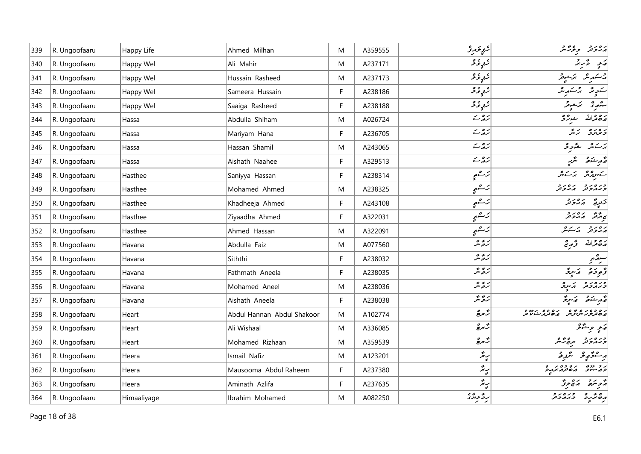| 339 | R. Ungoofaaru | Happy Life  | Ahmed Milhan               | ${\sf M}$   | A359555 | ر بو تر بر و<br>مسیح مر         | يرەرە بەرگىر                                                   |
|-----|---------------|-------------|----------------------------|-------------|---------|---------------------------------|----------------------------------------------------------------|
| 340 | R. Ungoofaaru | Happy Wel   | Ali Mahir                  | M           | A237171 | ر پوء و                         | ەي ۋرىز                                                        |
| 341 | R. Ungoofaaru | Happy Wel   | Hussain Rasheed            | M           | A237173 | تروءو                           | ج ڪمريش ڪرڪونگر                                                |
| 342 | R. Ungoofaaru | Happy Wel   | Sameera Hussain            | F.          | A238186 | <sup>ي</sup> پ <sub>و</sub> ء و | سأديثر<br>جرىسە مەھ                                            |
| 343 | R. Ungoofaaru | Happy Wel   | Saaiga Rasheed             | F           | A238188 | <sup>ي</sup> پ <sub>و</sub> ء و | ىبۇر ئۇ<br>بمرشدقر                                             |
| 344 | R. Ungoofaaru | Hassa       | Abdulla Shiham             | M           | A026724 | رەيە                            | ەھىراللە<br>شەرگە 3                                            |
| 345 | R. Ungoofaaru | Hassa       | Mariyam Hana               | F           | A236705 | رەمە                            | ىرتىر<br>ر ه بر ه<br><del>د</del> بربرگ                        |
| 346 | R. Ungoofaaru | Hassa       | Hassan Shamil              | ${\sf M}$   | A243065 | رەيە                            | برسەيىتە<br>ستگروگر                                            |
| 347 | R. Ungoofaaru | Hassa       | Aishath Naahee             | F.          | A329513 | رەيە                            | و گهر ڪو د                                                     |
| 348 | R. Ungoofaaru | Hasthee     | Saniyya Hassan             | $\mathsf F$ | A238314 | ئر ش <sub>ەھج</sub>             | سەسلەر ئەسەھ                                                   |
| 349 | R. Ungoofaaru | Hasthee     | Mohamed Ahmed              | M           | A238325 | ئر ش <sub>ەھج</sub>             | ورەر دەرد<br><i>دى</i> رمەنز مەردىر                            |
| 350 | R. Ungoofaaru | Hasthee     | Khadheeja Ahmed            | F           | A243108 | ئەشقىچ                          | پروژو<br>  ترمرقح                                              |
| 351 | R. Ungoofaaru | Hasthee     | Ziyaadha Ahmed             | $\mathsf F$ | A322031 | ر<br>ساھي <sub>و</sub>          | په دي در در د<br>بې پروگر د کمر کر وگر                         |
| 352 | R. Ungoofaaru | Hasthee     | Ahmed Hassan               | M           | A322091 | ئەشقىچ                          | رەرو برىكە                                                     |
| 353 | R. Ungoofaaru | Havana      | Abdulla Faiz               | M           | A077560 | ر پەيتر<br><i>ر</i> ۇبىر        | مَدْهُ قَدْ اللّهِ وَمَرْ مِنْ                                 |
| 354 | R. Ungoofaaru | Havana      | Siththi                    | F           | A238032 | ىر ئەيە<br>سەھ                  | سورمو                                                          |
| 355 | R. Ungoofaaru | Havana      | Fathmath Aneela            | F.          | A238035 | ر پەيتر<br><i>ر</i> ۇبىر        | توجوحه<br>ە ئىبرىتر                                            |
| 356 | R. Ungoofaaru | Havana      | Mohamed Aneel              | M           | A238036 | ىر ئەشر                         | و ره ر د<br>تر پر ژنگ                                          |
| 357 | R. Ungoofaaru | Havana      | Aishath Aneela             | F           | A238038 | ر پەيتر<br>سرەتىر               | و.<br>در کار شکوی                                              |
| 358 | R. Ungoofaaru | Heart       | Abdul Hannan Abdul Shakoor | ${\sf M}$   | A102774 | رًّسوط                          | ره وه در دو د<br>پره تر پر شومړنو<br>ره وه ره دي.<br>پرېدروبرس |
| 359 | R. Ungoofaaru | Heart       | Ali Wishaal                | M           | A336085 | رًّى يورُح                      | اړکو وېڅو                                                      |
| 360 | R. Ungoofaaru | Heart       | Mohamed Rizhaan            | M           | A359539 | رًّى يورُ                       | و ر ه ر و<br><i>و پر</i> پر <del>و</del> تر<br>بىرچ ئرىگە      |
| 361 | R. Ungoofaaru | Heera       | Ismail Nafiz               | M           | A123201 | ريڙ                             | وستتحريخه<br>سگوپۇ                                             |
| 362 | R. Ungoofaaru | Heera       | Mausooma Abdul Raheem      | F.          | A237380 | ريتر                            | ر د دو<br>ره وه ر و                                            |
| 363 | R. Ungoofaaru | Heera       | Aminath Azlifa             | F.          | A237635 | ريځه                            | أأروبتهم أأجمع فرقر                                            |
| 364 | R. Ungoofaaru | Himaaliyage | Ibrahim Mohamed            | M           | A082250 | رۇپرېژ                          | و ره ر و<br>تر پر ژور<br>ەر ھەترىر <i>ۋ</i>                    |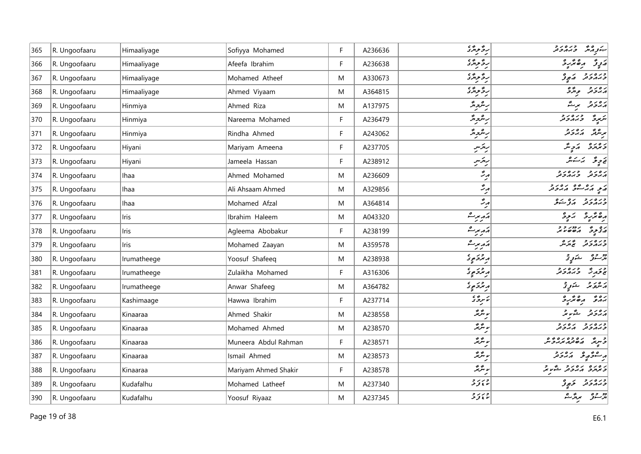| 365 | R. Ungoofaaru | Himaaliyage | Sofiyya Mohamed      | F  | A236636 | رڈ ڈیری                 | بروژه درورو                                       |
|-----|---------------|-------------|----------------------|----|---------|-------------------------|---------------------------------------------------|
| 366 | R. Ungoofaaru | Himaaliyage | Afeefa Ibrahim       | F. | A236638 | رۇپروژ                  |                                                   |
| 367 | R. Ungoofaaru | Himaaliyage | Mohamed Atheef       | M  | A330673 | رۇپروژ                  | و ره ر و<br><i>و ټ</i> رگر تر<br>ەببور            |
| 368 | R. Ungoofaaru | Himaaliyage | Ahmed Viyaam         | M  | A364815 | ג באידי ביותר<br>ג      | و پڑو<br>م<br>بر ه بر د<br>م. <i>ب</i> رو تر      |
| 369 | R. Ungoofaaru | Hinmiya     | Ahmed Riza           | M  | A137975 | ر م <sup>ش</sup> رته پژ | رەرو برگ                                          |
| 370 | R. Ungoofaaru | Hinmiya     | Nareema Mohamed      | F  | A236479 | رىثىرىژ                 | و ر ه ر د<br>تر بر بر تر<br>ىئرىرى                |
| 371 | R. Ungoofaaru | Hinmiya     | Rindha Ahmed         | F  | A243062 | ر م <sup>ی</sup> ر پر   | مرس پر در د                                       |
| 372 | R. Ungoofaaru | Hiyani      | Mariyam Ameena       | F  | A237705 | رىزىىر                  | دەرە بەرش                                         |
| 373 | R. Ungoofaaru | Hiyani      | Jameela Hassan       | F  | A238912 | رىزىىر                  | تحاج في الاستراكل                                 |
| 374 | R. Ungoofaaru | lhaa        | Ahmed Mohamed        | M  | A236609 | وشح                     | ג פגב בגםגב<br>גגבת בגגבת                         |
| 375 | R. Ungoofaaru | Ihaa        | Ali Ahsaam Ahmed     | M  | A329856 | ويح                     | و ده ده ده دورو                                   |
| 376 | R. Ungoofaaru | <b>Ihaa</b> | Mohamed Afzal        | M  | A364814 | برمج                    | ورەرو رەپ دو                                      |
| 377 | R. Ungoofaaru | Iris        | Ibrahim Haleem       | M  | A043320 | لئەمرىيە                | رە ئرىر ئىر ئى                                    |
| 378 | R. Ungoofaaru | Iris        | Agleema Abobakur     | F  | A238199 | لەربرىشە                | 77777                                             |
| 379 | R. Ungoofaaru | Iris        | Mohamed Zaayan       | M  | A359578 | لئەمرىيە                | כנסנכ שתם                                         |
| 380 | R. Ungoofaaru | Irumatheege | Yoosuf Shafeeq       | M  | A238938 | ېر تر <i>دې</i><br>ر    | <mark>پر دو خو</mark> ر                           |
| 381 | R. Ungoofaaru | Irumatheege | Zulaikha Mohamed     | F  | A316306 | ېر پر دې<br>بر بردې د   | و ر ه ر د<br>تر پر ژ تر<br>چ ئۇ م <sup>ەش</sup> ر |
| 382 | R. Ungoofaaru | Irumatheege | Anwar Shafeeg        | M  | A364782 | ېر بر دې<br>ر           | رەر ئەربى                                         |
| 383 | R. Ungoofaaru | Kashimaage  | Hawwa Ibrahim        | F  | A237714 | ر<br>مأسرچۍ             | برە ئۆرۈ<br>رەپچ<br>بروگ                          |
| 384 | R. Ungoofaaru | Kinaaraa    | Ahmed Shakir         | M  | A238558 | ىرىترىتر                | رەرد شەر                                          |
| 385 | R. Ungoofaaru | Kinaaraa    | Mohamed Ahmed        | M  | A238570 | ىرىترىتر                | כנסג בנסגב<br>בגמבת הגבת                          |
| 386 | R. Ungoofaaru | Kinaaraa    | Muneera Abdul Rahman | F  | A238571 | ر متریخه                | وسر محمد ده وه دره ده و                           |
| 387 | R. Ungoofaaru | Kinaaraa    | Ismail Ahmed         | M  | A238573 | ىرىترىتر                | وڪوپيو مدومر                                      |
| 388 | R. Ungoofaaru | Kinaaraa    | Mariyam Ahmed Shakir | F  | A238578 | اريقيقه                 | رەرە رەرد شرىد                                    |
| 389 | R. Ungoofaaru | Kudafalhu   | Mohamed Latheef      | M  | A237340 | د ر ر د<br>  ما د تو تر | ورەرو كېږۇ                                        |
| 390 | R. Ungoofaaru | Kudafalhu   | Yoosuf Riyaaz        | M  | A237345 | ر د کار د               | دو وه<br>در سور سرور شو                           |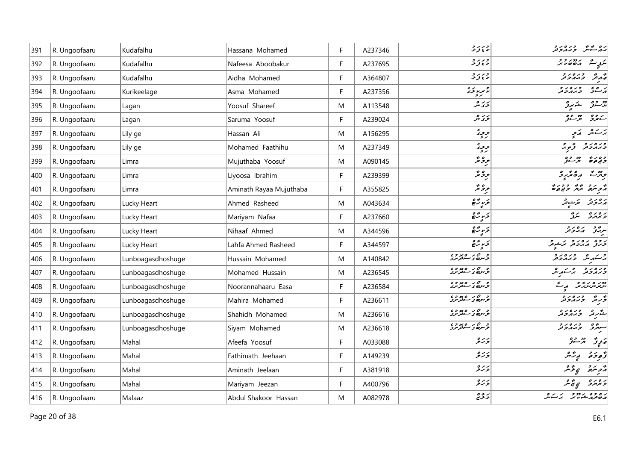| 391 | R. Ungoofaaru | Kudafalhu         | Hassana Mohamed         | F. | A237346 | ر د ر د                                  | ره شش دره رد                                   |
|-----|---------------|-------------------|-------------------------|----|---------|------------------------------------------|------------------------------------------------|
| 392 | R. Ungoofaaru | Kudafalhu         | Nafeesa Aboobakur       | F  | A237695 | ر د کار د                                | נחינים<br>גם סיטיב<br>سَرُرٍ مُتَّ             |
| 393 | R. Ungoofaaru | Kudafalhu         | Aidha Mohamed           | F. | A364807 | ر د ر د                                  | وزمرقر<br>و ر ه ر د<br>تر پروتر                |
| 394 | R. Ungoofaaru | Kurikeelage       | Asma Mohamed            | F  | A237356 | ر<br>ماسر پوسو <sup>ي</sup>              | رەپچ<br>و ره ر د<br><i>د ب</i> رگرمر           |
| 395 | R. Ungoofaaru | Lagan             | Yoosuf Shareef          | M  | A113548 | ىز ئەھ                                   | در حره<br>شەمرۇ                                |
| 396 | R. Ungoofaaru | Lagan             | Saruma Yoosuf           | F. | A239024 | ىر رە<br>ئىرى ئىر                        | سەپرى<br>ېز په دې                              |
| 397 | R. Ungoofaaru | Lily ge           | Hassan Ali              | M  | A156295 | مومود<br>ري                              | برستانش المرتو                                 |
| 398 | R. Ungoofaaru | Lily ge           | Mohamed Faathihu        | M  | A237349 | مومود<br>مرب                             | ورەر دېم د                                     |
| 399 | R. Ungoofaaru | Limra             | Mujuthaba Yoosuf        | M  | A090145 | عروعمه                                   | و ه برنځ<br>تر قع ځا<br>دد و ه<br>در سور       |
| 400 | R. Ungoofaaru | Limra             | Liyoosa Ibrahim         | F. | A239399 | عرونمه                                   | ەرھەترىرى<br>ر<br>بروزمثه                      |
| 401 | R. Ungoofaaru | Limra             | Aminath Rayaa Mujuthaba | F  | A355825 | عرفر ممثر                                |                                                |
| 402 | R. Ungoofaaru | Lucky Heart       | Ahmed Rasheed           | M  | A043634 | ځېږمنځ                                   | رەرد كەشى <i>د</i>                             |
| 403 | R. Ungoofaaru | Lucky Heart       | Mariyam Nafaa           | F. | A237660 | ځرېږمنځ                                  | ر ه ر ه<br><del>د</del> بربرد<br>سترة          |
| 404 | R. Ungoofaaru | Lucky Heart       | Nihaaf Ahmed            | M  | A344596 | ځېږمه                                    | سرچو پره د و                                   |
| 405 | R. Ungoofaaru | Lucky Heart       | Lahfa Ahmed Rasheed     | F  | A344597 | ځېږمنځ                                   | ار وه ره رو ر<br>افرنانی پربروتر برشوتر        |
| 406 | R. Ungoofaaru | Lunboagasdhoshuge | Hussain Mohamed         | M  | A140842 | و پەر قەيدو ،<br>ئۇسھى سەترىرى           | وكستهر شده وره دو                              |
| 407 | R. Ungoofaaru | Lunboagasdhoshuge | Mohamed Hussain         | M  | A236545 | و سرچ ر صور و ۽<br>موسي <i>ھ ي</i> سگھرس | ورەرو بېرىش                                    |
| 408 | R. Ungoofaaru | Lunboagasdhoshuge | Noorannahaaru Easa      | F. | A236584 | و سے رے پر و ۽<br>مرسمھ يا سوفرس         | مور و رو و در م                                |
| 409 | R. Ungoofaaru | Lunboagasdhoshuge | Mahira Mohamed          | F  | A236611 | و سے دے و ء<br>موسی <i>ھ ی</i> سونٹریوی  | و دره دره د                                    |
| 410 | R. Ungoofaaru | Lunboagasdhoshuge | Shahidh Mohamed         | M  | A236616 | و سرچ ر که پر و ء<br>موسرچ ر سوترس       | و ره ر و<br>تر پروتر<br>ستگرمر                 |
| 411 | R. Ungoofaaru | Lunboagasdhoshuge | Siyam Mohamed           | M  | A236618 | و سے بر رہ ہو و ۽<br>مؤسر@ي سوفرس        | و رە ر د<br><i>د بە</i> گەر<br>سەدگر           |
| 412 | R. Ungoofaaru | Mahal             | Afeefa Yoosuf           | F. | A033088 | ۇربۇ                                     | ەردۇ<br>دد و ه<br>در سور                       |
| 413 | R. Ungoofaaru | Mahal             | Fathimath Jeehaan       | F. | A149239 | ىر ئەي                                   | ۇي <sub>م</sub> وچۇ پې <sup>رى</sup> ر         |
| 414 | R. Ungoofaaru | Mahal             | Aminath Jeelaan         | F. | A381918 | ۇربۇ                                     | أأدجن ويحمد                                    |
| 415 | R. Ungoofaaru | Mahal             | Mariyam Jeezan          | F. | A400796 | ۇربۇ                                     | ر ه ر ه<br><del>و</del> بربرو<br>مٍ يُحَ سُر   |
| 416 | R. Ungoofaaru | Malaaz            | Abdul Shakoor Hassan    | M  | A082978 | ىر بۇ ە                                  | ره وه بردد و بر بر مار<br>مان فرم شرید بر بر ک |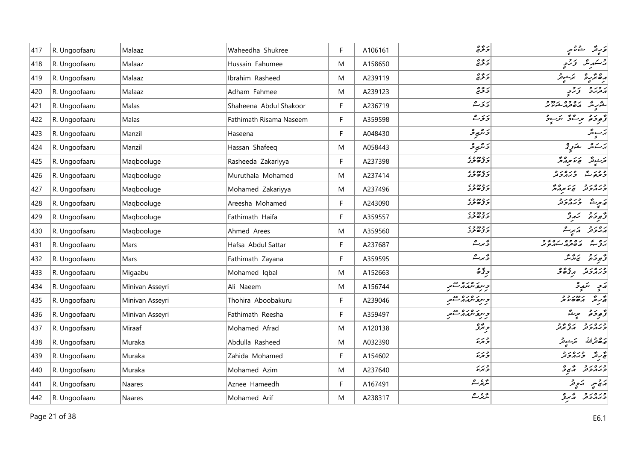| 417 | R. Ungoofaaru | Malaaz          | Waheedha Shukree        | F         | A106161 | ترمج ہ                                        | ىر پەنگە سىيەتلەير<br>مۇ                               |
|-----|---------------|-----------------|-------------------------|-----------|---------|-----------------------------------------------|--------------------------------------------------------|
| 418 | R. Ungoofaaru | Malaaz          | Hussain Fahumee         | M         | A158650 | ر ژه<br>د ژنم                                 | جريئة مرسم المرسمة<br> -<br>  جريئة مرسم المرسم المرسم |
| 419 | R. Ungoofaaru | Malaaz          | Ibrahim Rasheed         | ${\sf M}$ | A239119 | ىر بۇ ە                                       | دە ترېږ<br>سمر مشوقر                                   |
| 420 | R. Ungoofaaru | Malaaz          | Adham Fahmee            | M         | A239123 | ترڅې                                          | برور و<br>سىمىسى<br>ئۇڭرىپى                            |
| 421 | R. Ungoofaaru | Malas           | Shaheena Abdul Shakoor  | F         | A236719 | ىزىر                                          | ره وه بردو و<br>های مرد شور بر<br>ڪُ پر سُرُ           |
| 422 | R. Ungoofaaru | Malas           | Fathimath Risama Naseem | F         | A359598 | ىز ئە                                         | ۋە ئەھ برىشۇ سەر                                       |
| 423 | R. Ungoofaaru | Manzil          | Haseena                 | F         | A048430 | ځە ش <sub>ىرى</sub> چە                        | برَسومبرٌ                                              |
| 424 | R. Ungoofaaru | Manzil          | Hassan Shafeeq          | ${\sf M}$ | A058443 | ئەشىرى                                        | ر<br>برڪس ڪولو                                         |
| 425 | R. Ungoofaaru | Maqbooluge      | Rasheeda Zakariyya      | F         | A237398 | ر د دد د ،<br>تر د ن نو د                     | بكشينك كالموهان                                        |
| 426 | R. Ungoofaaru | Magbooluge      | Muruthala Mohamed       | M         | A237414 | ر د دد د ،<br>تر تړن مور                      | و ور په دره د د<br>و برو شه د بر د تر                  |
| 427 | R. Ungoofaaru | Magbooluge      | Mohamed Zakariyya       | M         | A237496 | ر و دو و ،<br>تر تی ت <i>ص</i> و ت            | כנסנכ נגם פי                                           |
| 428 | R. Ungoofaaru | Magbooluge      | Areesha Mohamed         | F         | A243090 | ر د دد د ،<br>تر د ن مو د                     | و ر ه ر و<br><i>و ټ</i> رو تر<br>رىم يېڭىد             |
| 429 | R. Ungoofaaru | Magbooluge      | Fathimath Haifa         | F         | A359557 | ر د دد د ،<br>تر د ن عر د                     | وً و دو سکه و                                          |
| 430 | R. Ungoofaaru | Magbooluge      | Ahmed Arees             | ${\sf M}$ | A359560 | ر و دو و ،<br>تر تی ت <i>ص</i> و ت            | رەر تەرب                                               |
| 431 | R. Ungoofaaru | <b>Mars</b>     | Hafsa Abdul Sattar      | F         | A237687 | ۇ برر                                         | ره په ره ده ره د د<br>برو په په هرم سومرمونو           |
| 432 | R. Ungoofaaru | Mars            | Fathimath Zayana        | F         | A359595 | ۇ بر م                                        | قودة بمترش                                             |
| 433 | R. Ungoofaaru | Migaabu         | Mohamed Iqbal           | M         | A152663 | و ڈُھ                                         | כנסנכ הבסיב<br>כגהכת הבסיב                             |
| 434 | R. Ungoofaaru | Minivan Asseyri | Ali Naeem               | M         | A156744 | احەسى ھەرەر مەسىر<br>كەن                      | أوسم التمريح                                           |
| 435 | R. Ungoofaaru | Minivan Asseyri | Thohira Aboobakuru      | F         | A239046 | ج سره سره منه<br>مربع سمد <sub>مر</sub> ه منه | 77777<br>پ <sup>و</sup> ر بڑ                           |
| 436 | R. Ungoofaaru | Minivan Asseyri | Fathimath Reesha        | F         | A359497 | ح سره مره منه<br>مرسم سرد در منه<br>مرسم      | ۇۋۇۋە بېش                                              |
| 437 | R. Ungoofaaru | Miraaf          | Mohamed Afrad           | M         | A120138 | حرىمز                                         | و پر و پر و<br>تر ټر ټر تر<br>بره ۶۶<br>مرتو ترفر      |
| 438 | R. Ungoofaaru | Muraka          | Abdulla Rasheed         | M         | A032390 | ويرر                                          | رەقمەللە ئىشبىر                                        |
| 439 | R. Ungoofaaru | Muraka          | Zahida Mohamed          | F         | A154602 | ويرز                                          | يم پڻ ويره دو                                          |
| 440 | R. Ungoofaaru | Muraka          | Mohamed Azim            | M         | A237640 | ويرز                                          | כנסנב בים                                              |
| 441 | R. Ungoofaaru | <b>Naares</b>   | Aznee Hameedh           | F         | A167491 | متزبر عه                                      | ړ جمېر پر کو فر                                        |
| 442 | R. Ungoofaaru | <b>Naares</b>   | Mohamed Arif            | M         | A238317 | پڑ پر ہ                                       | ورەرو ئەير                                             |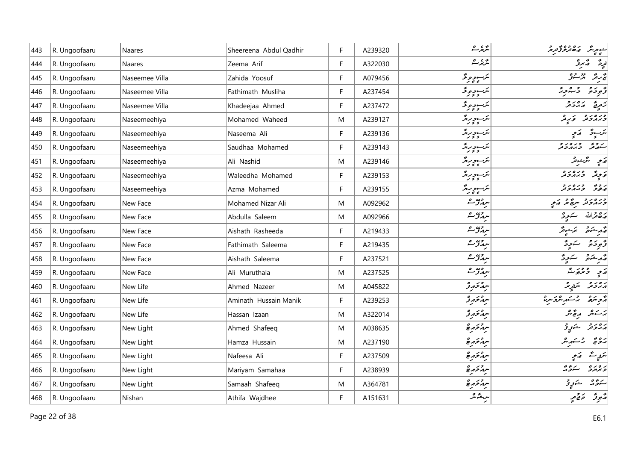| 443 | R. Ungoofaaru | Naares         | Sheereena Abdul Qadhir | F         | A239320 | پرې ه<br>مربر شو                  | اشوپرس ھەقرىق توپر<br>ئ                  |
|-----|---------------|----------------|------------------------|-----------|---------|-----------------------------------|------------------------------------------|
| 444 | R. Ungoofaaru | <b>Naares</b>  | Zeema Arif             | F         | A322030 | ىئرىزىشە                          | سنڌ<br>فرڱ وڻه<br>محر پڻ                 |
| 445 | R. Ungoofaaru | Naseemee Villa | Zahida Yoosuf          | F         | A079456 | مەسور ەڭر<br>  ________________   | دره                                      |
| 446 | R. Ungoofaaru | Naseemee Villa | Fathimath Musliha      | F         | A237454 | ىئرسوچە بۇ<br>ئىستىقى بەر         | وتجوفهم وجور                             |
| 447 | R. Ungoofaaru | Naseemee Villa | Khadeejaa Ahmed        | F         | A237472 | ىئەسىرە بەر<br>ئىستىقىلىر         | ر ر م در د<br>زىرى م پروتر               |
| 448 | R. Ungoofaaru | Naseemeehiya   | Mohamed Waheed         | M         | A239127 | مكر سوچە رىدىگە<br>ئىستىقى ئىستىم | כנסנכ גב<br>כממכת פנית                   |
| 449 | R. Ungoofaaru | Naseemeehiya   | Naseema Ali            | F         | A239136 | ىئەسىزىرىدۇ.<br>مەسىم ئىسىم       | يرَ پِ يَه دِ يَهِ                       |
| 450 | R. Ungoofaaru | Naseemeehiya   | Saudhaa Mohamed        | F         | A239143 | ىئەسىزىرىدۇ.<br>مەمۇرىيە          | و ره ر و<br><i>د ب</i> رگرفر<br>ستهرقر   |
| 451 | R. Ungoofaaru | Naseemeehiya   | Ali Nashid             | M         | A239146 | ىئەسوچە رەڭر<br>سىم ئەسىم         | رسم میں مقبولہ<br>   رسم میں مقبولہ      |
| 452 | R. Ungoofaaru | Naseemeehiya   | Waleedha Mohamed       | F         | A239153 |                                   | و ر ه ر د<br>تر پروتر<br>ءَ وِتَرُ       |
| 453 | R. Ungoofaaru | Naseemeehiya   | Azma Mohamed           | F         | A239155 |                                   | و رە ر د<br>تر پروتر<br>ر و و<br>پر ټوکر |
| 454 | R. Ungoofaaru | New Face       | Mohamed Nizar Ali      | ${\sf M}$ | A092962 | امدونيق                           | ورەرو سەر كەي                            |
| 455 | R. Ungoofaaru | New Face       | Abdulla Saleem         | M         | A092966 | سردیوے                            | رەقمەللە سەرد                            |
| 456 | R. Ungoofaaru | New Face       | Aishath Rasheeda       | F         | A219433 | سردیوے                            | مەر ئىكى ئىم ئىر ئىس                     |
| 457 | R. Ungoofaaru | New Face       | Fathimath Saleema      | F         | A219435 | سردی ہے                           | قرموخرة سنويرة                           |
| 458 | R. Ungoofaaru | New Face       | Aishath Saleema        | F         | A237521 | امېږي ه                           | ۇرىشى سىرۇ                               |
| 459 | R. Ungoofaaru | New Face       | Ali Muruthala          | ${\sf M}$ | A237525 | سردی ہے                           | أور وبروت                                |
| 460 | R. Ungoofaaru | New Life       | Ahmed Nazeer           | ${\sf M}$ | A045822 | سرچمبرو                           | رەرو سَغرِ پر                            |
| 461 | R. Ungoofaaru | New Life       | Aminath Hussain Manik  | F         | A239253 | بىرە ئۇرۇ                         | הכתים השתתבתי                            |
| 462 | R. Ungoofaaru | New Life       | Hassan Izaan           | ${\sf M}$ | A322014 | بىرە ئۇرۇ                         | ير سنڌ مقام                              |
| 463 | R. Ungoofaaru | New Light      | Ahmed Shafeeq          | ${\sf M}$ | A038635 | سرد څرم                           | أرەر ئۇر ئۇر                             |
| 464 | R. Ungoofaaru | New Light      | Hamza Hussain          | ${\sf M}$ | A237190 | سرو مخرم ه                        | برویج بر شهر مر                          |
| 465 | R. Ungoofaaru | New Light      | Nafeesa Ali            | F         | A237509 | سرد خرم                           | سَمَدٍ مُتَنَ<br>ەتىر                    |
| 466 | R. Ungoofaaru | New Light      | Mariyam Samahaa        | F         | A238939 | سرتز كريح                         | ى ئەرە<br>سترة بر                        |
| 467 | R. Ungoofaaru | New Light      | Samaah Shafeeq         | M         | A364781 | سرقم تخرج                         | سەۋر<br>ستكوتي                           |
| 468 | R. Ungoofaaru | Nishan         | Athifa Wajdhee         | F         | A151631 | سرىشەشر                           | مَّجودٌ وَقَصِرِ                         |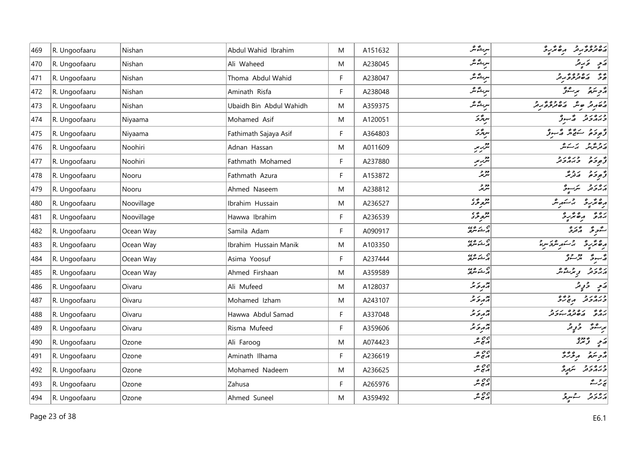| 469 | R. Ungoofaaru | Nishan     | Abdul Wahid Ibrahim     | M         | A151632 | سرىشەشر                           | גם כפש ב תפשעים                                                                    |
|-----|---------------|------------|-------------------------|-----------|---------|-----------------------------------|------------------------------------------------------------------------------------|
| 470 | R. Ungoofaaru | Nishan     | Ali Waheed              | M         | A238045 | سرىشەشر                           | د و ديد                                                                            |
| 471 | R. Ungoofaaru | Nishan     | Thoma Abdul Wahid       | F         | A238047 | سرىشەشر                           | <i>پر دودون</i> ور<br>بود مەھىرىرە                                                 |
| 472 | R. Ungoofaaru | Nishan     | Aminath Risfa           | F         | A238048 | سرىشەشر                           | ۇ ئەسكە ئەسىر ئەر                                                                  |
| 473 | R. Ungoofaaru | Nishan     | Ubaidh Bin Abdul Wahidh | M         | A359375 | اسریٹریمر<br>کے                   | רגב סית גם בקבל ב                                                                  |
| 474 | R. Ungoofaaru | Niyaama    | Mohamed Asif            | M         | A120051 | سردگر                             | ورەرو ھەبدۇ                                                                        |
| 475 | R. Ungoofaaru | Niyaama    | Fathimath Sajaya Asif   | F         | A364803 | سردگر                             | وٌ و دو دو دو و د ب                                                                |
| 476 | R. Ungoofaaru | Noohiri    | Adnan Hassan            | M         | A011609 | دد<br>متربر بر                    | روژیر پرسکار                                                                       |
| 477 | R. Ungoofaaru | Noohiri    | Fathmath Mohamed        | F         | A237880 | چیز<br>مترکب سر                   | و ره ر د<br><i>د ب</i> رگرفر<br>و څو څخه د                                         |
| 478 | R. Ungoofaaru | Nooru      | Fathmath Azura          | F         | A153872 | دو د                              | وٌجوحَ حَمَّ وَمُحَرَّمَةِ                                                         |
| 479 | R. Ungoofaaru | Nooru      | Ahmed Naseem            | M         | A238812 | دو و<br>سرپر                      | رەرد شرىدۇ                                                                         |
| 480 | R. Ungoofaaru | Noovillage | Ibrahim Hussain         | M         | A236527 | دد<br>متر <sub>کو</sub> بو د      | وه عمر د محمد شهر شر                                                               |
| 481 | R. Ungoofaaru | Noovillage | Hawwa Ibrahim           | F         | A236539 | دد په په<br>سر <sub>گرم</sub> ونو |                                                                                    |
| 482 | R. Ungoofaaru | Ocean Way  | Samila Adam             | F         | A090917 | م<br>مرڪبور <i>ي</i>              | سەر قەرە                                                                           |
| 483 | R. Ungoofaaru | Ocean Way  | Ibrahim Hussain Manik   | M         | A103350 | م شه ه <sup>40</sup>              | رەمجرىرە بەسكىر مىزدىر                                                             |
| 484 | R. Ungoofaaru | Ocean Way  | Asima Yoosuf            | F         | A237444 | م يەھ ي <sup>ى</sup>              | $\begin{array}{cc} 0 & 2 & 2 & 3 \\ 2 & -2 & 2 & -2 \\ 3 & 2 & 2 & -3 \end{array}$ |
| 485 | R. Ungoofaaru | Ocean Way  | Ahmed Firshaan          | M         | A359589 | م شه ه <sup>40</sup>              | برورد وبرشگر                                                                       |
| 486 | R. Ungoofaaru | Oivaru     | Ali Mufeed              | ${\sf M}$ | A128037 | لترمره                            | ړکو د وړ                                                                           |
| 487 | R. Ungoofaaru | Oivaru     | Mohamed Izham           | M         | A243107 | لترمر بحر                         |                                                                                    |
| 488 | R. Ungoofaaru | Oivaru     | Hawwa Abdul Samad       | F         | A337048 | لترمر فر                          | ره په ره وه رر د<br>برور پره تر در سور تر                                          |
| 489 | R. Ungoofaaru | Oivaru     | Risma Mufeed            | F         | A359606 | لترمره                            |                                                                                    |
| 490 | R. Ungoofaaru | Ozone      | Ali Faroog              | M         | A074423 | ە يە ھ<br>مەنبى                   |                                                                                    |
| 491 | R. Ungoofaaru | Ozone      | Aminath Ilhama          | F         | A236619 | پر چ پر                           | وحريتهم وبحرقر                                                                     |
| 492 | R. Ungoofaaru | Ozone      | Mohamed Nadeem          | M         | A236625 | دی ه                              | ورەر د سربرو                                                                       |
| 493 | R. Ungoofaaru | Ozone      | Zahusa                  | F         | A265976 | پر چ پر                           | ىئەرىشە                                                                            |
| 494 | R. Ungoofaaru | Ozone      | Ahmed Suneel            | ${\sf M}$ | A359492 | ە جە ھ<br>مەنبى                   | أرەر دىھرىگى ئىستىر                                                                |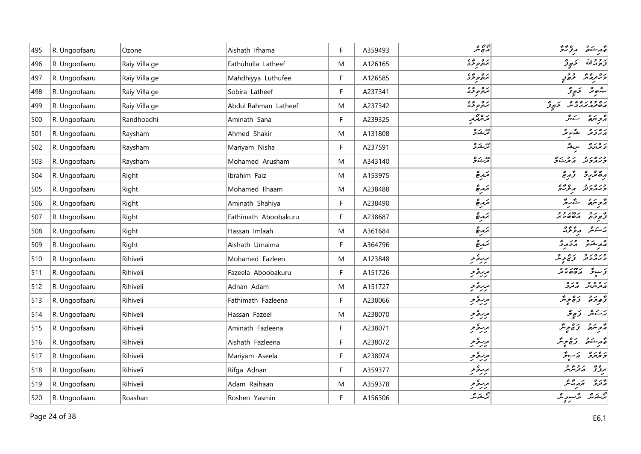| 495 | R. Ungoofaaru | Ozone         | Aishath Ifhama       | F         | A359493 | 20 مگر<br>  مربع مگر         | بروژخ<br>ائی <sub>م</sub> مشتمو<br>مسلم      |
|-----|---------------|---------------|----------------------|-----------|---------|------------------------------|----------------------------------------------|
| 496 | R. Ungoofaaru | Raiy Villa ge | Fathuhulla Latheef   | M         | A126165 | ىرە ھەتىي<br>ئىرقۇمۇتى       | ترح فرالله<br>ځېږ ژ                          |
| 497 | R. Ungoofaaru | Raiy Villa ge | Mahdhiyya Luthufee   | F         | A126585 | ر ه<br>بر <sub>گ</sub> ورځۍ  | ترجمي<br>ر و بر مرگز<br>تر <i>گر</i> مرگز    |
| 498 | R. Ungoofaaru | Raiy Villa ge | Sobira Latheef       | F         | A237341 | ر ه<br>بر <sub>گ</sub> ورځ د | بڈھ بڑ                                       |
| 499 | R. Ungoofaaru | Raiy Villa ge | Abdul Rahman Latheef | M         | A237342 | ر ه<br>بر <sub>گ</sub> ورځ د |                                              |
| 500 | R. Ungoofaaru | Randhoadhi    | Aminath Sana         | F         | A239325 | برەم                         | أأرمز المتفريح المسترين                      |
| 501 | R. Ungoofaaru | Raysham       | Ahmed Shakir         | M         | A131808 | يحرشوح                       | شەر بىر<br>پروژو                             |
| 502 | R. Ungoofaaru | Raysham       | Mariyam Nisha        | F         | A237591 | يحرشوح                       | ر ه ر ه<br><del>ر</del> بربرگ<br>سرينگه      |
| 503 | R. Ungoofaaru | Raysham       | Mohamed Arusham      | ${\sf M}$ | A343140 | بۇيدە                        | برتر يندو<br>و ر ه ر و<br>د بر بر تر         |
| 504 | R. Ungoofaaru | Right         | Ibrahim Faiz         | M         | A153975 | بتراريح                      | تٌر مع<br>ىر ھەتئەر <i>2</i>                 |
| 505 | R. Ungoofaaru | Right         | Mohamed Ilhaam       | M         | A238488 | بترمره                       | بروژو<br>و ر ه ر د<br>تر پر تر تر            |
| 506 | R. Ungoofaaru | Right         | Aminath Shahiya      | F         | A238490 | بمهرهج                       | ىشترىرىتر<br>أروسكو                          |
| 507 | R. Ungoofaaru | Right         | Fathimath Aboobakuru | F         | A238687 | بتراميح                      | 77777<br>و څوخه د                            |
| 508 | R. Ungoofaaru | Right         | Hassan Imlaah        | ${\sf M}$ | A361684 | برًوع                        | بروثور<br>ىر سەنلەر                          |
| 509 | R. Ungoofaaru | Right         | Aishath Umaima       | F         | A364796 | بتزمرهج                      | مەر ئىسكى مەترىدۇ                            |
| 510 | R. Ungoofaaru | Rihiveli      | Mohamed Fazleen      | ${\sf M}$ | A123848 | ىرر <sub>ش</sub> ىر<br>مەركى | ورورو دي ديم                                 |
| 511 | R. Ungoofaaru | Rihiveli      | Fazeela Aboobakuru   | F         | A151726 | بررء و<br>مرگو               | 77777<br>  تۇسىپىتى                          |
| 512 | R. Ungoofaaru | Rihiveli      | Adnan Adam           | M         | A151727 | بررءً و                      | ر د عر د<br>مەنگرىش<br>پور ہ<br>مرتزو        |
| 513 | R. Ungoofaaru | Rihiveli      | Fathimath Fazleena   | F         | A238066 | ىررى<br>ئەرگۈ                | تر چې چې پنگر<br>وٌمودَمُ                    |
| 514 | R. Ungoofaaru | Rihiveli      | Hassan Fazeel        | ${\sf M}$ | A238070 | بررءً و                      | ىزىكىش كۆپى ق                                |
| 515 | R. Ungoofaaru | Rihiveli      | Aminath Fazleena     | F         | A238071 | ىررى<br>ئەرگۈ                | ۇ ئ <sub>ى</sub> بۇ بىر<br>أرمز              |
| 516 | R. Ungoofaaru | Rihiveli      | Aishath Fazleena     | F         | A238072 | ىررى<br>ئرىر ئىر             | ۇرىشقى كۆچىگە                                |
| 517 | R. Ungoofaaru | Rihiveli      | Mariyam Aseela       | F         | A238074 | بررءً و                      | ر ه ر ه<br><del>د</del> بربرگر<br>ە ئەسىرىتى |
| 518 | R. Ungoofaaru | Rihiveli      | Rifga Adnan          | F         | A359377 | بررء<br>برروبر               | پر 3 پر 2<br>ەر تىرىئرىنر<br>ىروتچ           |
| 519 | R. Ungoofaaru | Rihiveli      | Adam Raihaan         | M         | A359378 | بررءً و                      | پور ہ<br>پر تعر تر<br>بجدبر مجمر             |
| 520 | R. Ungoofaaru | Roashan       | Roshen Yasmin        | F         | A156306 | تريئه تر                     | ە<br>ترىشونىر بەرگەرى <sub>ر</sub> ىر        |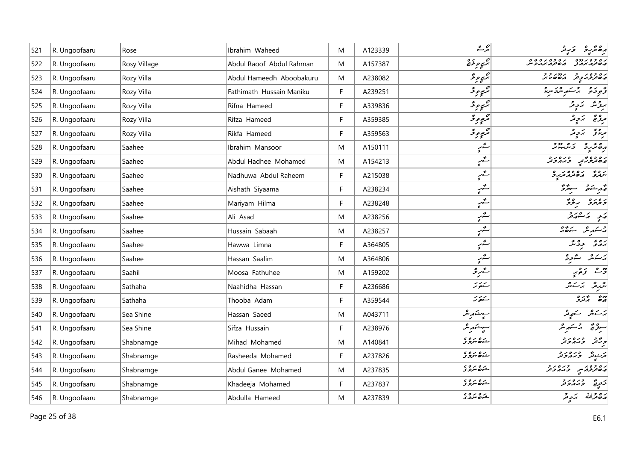| 521 | R. Ungoofaaru | Rose         | Ibrahim Waheed           | M           | A123339 | ترعه                                     | مەھەر ئەيە                                                                   |
|-----|---------------|--------------|--------------------------|-------------|---------|------------------------------------------|------------------------------------------------------------------------------|
| 522 | R. Ungoofaaru | Rosy Village | Abdul Raoof Abdul Rahman | M           | A157387 | تربىء ومحمق                              | ر ם כ ם ג כפ מ כ פ ם ג ם פ ם<br>ג ס تو ג <i>א ג ה צ , ר ג ס تو ה יצ יי</i> כ |
| 523 | R. Ungoofaaru | Rozy Villa   | Abdul Hameedh Aboobakuru | M           | A238082 | ئۇي جۇ قە                                | נסכסנ כדור כבר<br>הסתיבהבת הססטת                                             |
| 524 | R. Ungoofaaru | Rozy Villa   | Fathimath Hussain Maniku | F           | A239251 | ترىپورتۇ                                 | و و دو د سکر مرد مرد                                                         |
| 525 | R. Ungoofaaru | Rozy Villa   | Rifna Hameed             | $\mathsf F$ | A339836 | ترىپەرگە                                 | ىرۇنىگە ئەرەگە                                                               |
| 526 | R. Ungoofaaru | Rozy Villa   | Rifza Hameed             | F           | A359385 | ە<br>ئىسىم <i>م</i> وقتە                 | ىرۇق بەرلىر                                                                  |
| 527 | R. Ungoofaaru | Rozy Villa   | Rikfa Hameed             | F           | A359563 | ە<br>ئىسىم <i>م</i> وقتە                 | ىرىدۇ كەچەتر                                                                 |
| 528 | R. Ungoofaaru | Saahee       | Ibrahim Mansoor          | M           | A150111 | يثمي                                     | دە ئەرەر دەردە                                                               |
| 529 | R. Ungoofaaru | Saahee       | Abdul Hadhee Mohamed     | M           | A154213 | ستثمريه                                  | גם כם מ"כ גם גב<br>גם <i>נקיב הב ה</i> רב ב                                  |
| 530 | R. Ungoofaaru | Saahee       | Nadhuwa Abdul Raheem     | $\mathsf F$ | A215038 | سٿمبر                                    | ر و ده ده وه در ه                                                            |
| 531 | R. Ungoofaaru | Saahee       | Aishath Siyaama          | F           | A238234 | ستثمريه                                  | وأمر مشكرة المسترائر                                                         |
| 532 | R. Ungoofaaru | Saahee       | Mariyam Hilma            | F           | A238248 | يثمي                                     | دەرە بەۋە                                                                    |
| 533 | R. Ungoofaaru | Saahee       | Ali Asad                 | M           | A238256 | اڪھر<br>ج                                | أتهمج أتراه ورد                                                              |
| 534 | R. Ungoofaaru | Saahee       | Hussain Sabaah           | M           | A238257 | ستثمريه                                  | جر سکور محد استراح کر                                                        |
| 535 | R. Ungoofaaru | Saahee       | Hawwa Limna              | F           | A364805 | يحمي                                     | برە ئەرەپتى                                                                  |
| 536 | R. Ungoofaaru | Saahee       | Hassan Saalim            | M           | A364806 | سٿي                                      | ىزىكەش سەئەرۋ                                                                |
| 537 | R. Ungoofaaru | Saahil       | Moosa Fathuhee           | M           | A159202 | سەر بۇ                                   | رژشت توکھیپ                                                                  |
| 538 | R. Ungoofaaru | Sathaha      | Naahidha Hassan          | F           | A236686 | ستهزز                                    | ىتزىر قىر<br>برسەيىتىر                                                       |
| 539 | R. Ungoofaaru | Sathaha      | Thooba Adam              | F           | A359544 | سئەرىر                                   | ددید و دره<br>جوځه مرکز                                                      |
| 540 | R. Ungoofaaru | Sea Shine    | Hassan Saeed             | M           | A043711 | سىيە <u>سى</u> تەمرىكر                   | ىر مەھ<br>بر مەھرىسى                                                         |
| 541 | R. Ungoofaaru | Sea Shine    | Sifza Hussain            | F           | A238976 | سىپىئەر بىر<br>ئ                         | سومج يمسكوننى                                                                |
| 542 | R. Ungoofaaru | Shabnamge    | Mihad Mohamed            | M           | A140841 | ر <i>ه د ه ،</i>                         | و ره ر د<br>رنگرونر<br>و رَگَ وَرُ                                           |
| 543 | R. Ungoofaaru | Shabnamge    | Rasheeda Mohamed         | F           | A237826 | ر <i>ه د ه ،</i><br>شو <i>ه مرو د</i>    | ترجينتر وبره د و<br>ترجين وبردونر                                            |
| 544 | R. Ungoofaaru | Shabnamge    | Abdul Ganee Mohamed      | M           | A237835 | ر <i>ە</i> ر ە ،<br>شەھ سرچ <sub>ك</sub> | גפרפגית כמחכת                                                                |
| 545 | R. Ungoofaaru | Shabnamge    | Khadeeja Mohamed         | F           | A237837 | ر ده بره <sup>د</sup>                    | و ر ه ر و<br>تر پر ژ تر<br>  ترْموچَّ                                        |
| 546 | R. Ungoofaaru | Shabnamge    | Abdulla Hameed           | M           | A237839 | ره ره د<br>ش <sub>و</sub> ځ نرو د        | مَدْهُ مَرْاللّه يَرْمِرْ                                                    |
|     |               |              |                          |             |         |                                          |                                                                              |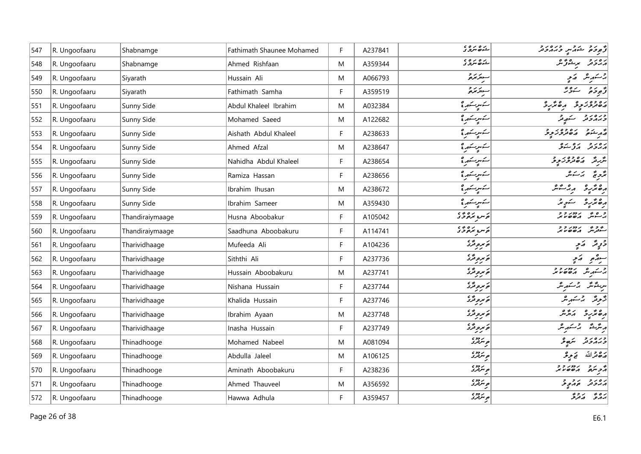| 547 | R. Ungoofaaru | Shabnamge       | Fathimath Shaunee Mohamed | F         | A237841 | شەھ سرچ ئ                                  | و دو شور وره دو                                |
|-----|---------------|-----------------|---------------------------|-----------|---------|--------------------------------------------|------------------------------------------------|
| 548 | R. Ungoofaaru | Shabnamge       | Ahmed Rishfaan            | ${\sf M}$ | A359344 | ره ره د<br>شو <i>ه مرو</i> د               | رەرو برخۇمۇ                                    |
| 549 | R. Ungoofaaru | Siyarath        | Hussain Ali               | ${\sf M}$ | A066793 | ر بر د<br>سەدىرى                           | برسكهر شركم                                    |
| 550 | R. Ungoofaaru | Siyarath        | Fathimath Samha           | F         | A359519 | سود تره                                    | و ده ده و                                      |
| 551 | R. Ungoofaaru | Sunny Side      | Abdul Khaleel Ibrahim     | M         | A032384 | سەمىرىسەر ؟                                | גם בפג' בבי הסתקב                              |
| 552 | R. Ungoofaaru | Sunny Side      | Mohamed Saeed             | ${\sf M}$ | A122682 | سەسەر سەر ؟                                | وره رو در د                                    |
| 553 | R. Ungoofaaru | Sunny Side      | Aishath Abdul Khaleel     | F         | A238633 | سە <sub>سوپ</sub> سەر ؟<br>س               | و دره ده ده ده در در د                         |
| 554 | R. Ungoofaaru | Sunny Side      | Ahmed Afzal               | ${\sf M}$ | A238647 | سەسەر سەر ؟                                | رەرو رەپ                                       |
| 555 | R. Ungoofaaru | Sunny Side      | Nahidha Abdul Khaleel     | F         | A238654 | اسە <sub>سو</sub> سەر ؟<br>ئە              | تررتر المەمروزىرو                              |
| 556 | R. Ungoofaaru | Sunny Side      | Ramiza Hassan             | F         | A238656 | اسەمىيەسىدە<br>——                          | ترویج برسکر                                    |
| 557 | R. Ungoofaaru | Sunny Side      | Ibrahim Ihusan            | M         | A238672 | سە <sub>سىرىس</sub> ىدە                    | رەنزىر رىشىر                                   |
| 558 | R. Ungoofaaru | Sunny Side      | Ibrahim Sameer            | M         | A359430 | اسە بېرىدىدى<br>سىستىم                     | ە ھەترىرى<br>رەھىرىرى<br>سەر پر                |
| 559 | R. Ungoofaaru | Thandiraiymaage | Husna Aboobakur           | F         | A105042 | <br>  پرسو بره چری                         | جەمەھەر<br>بەر سەھەرىگە<br>22 133 1<br>J 400 1 |
| 560 | R. Ungoofaaru | Thandiraiymaage | Saadhuna Aboobakuru       | F         | A114741 | ە سو ئىۋوتر                                | 77/77/<br>شۇر ئە                               |
| 561 | R. Ungoofaaru | Tharividhaage   | Mufeeda Ali               | F         | A104236 | ائر مرہ مرد<br>انتخاب کے مرد ک             | وُرٍ پَرِ پ                                    |
| 562 | R. Ungoofaaru | Tharividhaage   | Siththi Ali               | F         | A237736 | ر<br>حوسرح فرد                             | سودھو<br>رځمنې                                 |
| 563 | R. Ungoofaaru | Tharividhaage   | Hussain Aboobakuru        | M         | A237741 | <br> حومرہ وقری                            |                                                |
| 564 | R. Ungoofaaru | Tharividhaage   | Nishana Hussain           | F         | A237744 | ر<br>حومر و قری                            | ىرىشگىر كەكسەرلىر                              |
| 565 | R. Ungoofaaru | Tharividhaage   | Khalida Hussain           | F         | A237746 | پروتری<br>  سرم تری                        | رَّحوقر كركستهر مر                             |
| 566 | R. Ungoofaaru | Tharividhaage   | Ibrahim Ayaan             | M         | A237748 | <br> حوسره قری                             | ىر ئۇيتر<br>ە ھەترىر <sup>ى</sup><br>رەھترىرى  |
| 567 | R. Ungoofaaru | Tharividhaage   | Inasha Hussain            | F         | A237749 |                                            | مەنئىڭ بۇ شەرىئى                               |
| 568 | R. Ungoofaaru | Thinadhooge     | Mohamed Nabeel            | ${\sf M}$ | A081094 | پر دو ۽<br>جي سرگري                        | ورەر دىھۇ                                      |
| 569 | R. Ungoofaaru | Thinadhooge     | Abdulla Jaleel            | ${\sf M}$ | A106125 | بر دو ۽<br>حرس قر                          | ەھىراللە<br>تح وٍ وَ و                         |
| 570 | R. Ungoofaaru | Thinadhooge     | Aminath Aboobakuru        | F         | A238236 | ر دو ۽<br>ج <sub>و</sub> سربر <sub>ي</sub> |                                                |
| 571 | R. Ungoofaaru | Thinadhooge     | Ahmed Thauveel            | M         | A356592 | <br>  حو سرقری                             | גפגד גרקב<br>גגבת האקב                         |
| 572 | R. Ungoofaaru | Thinadhooge     | Hawwa Adhula              | F         | A359457 | بر دو ۽<br>حو سرقري                        | رە ئەرە<br>بەدى ئ                              |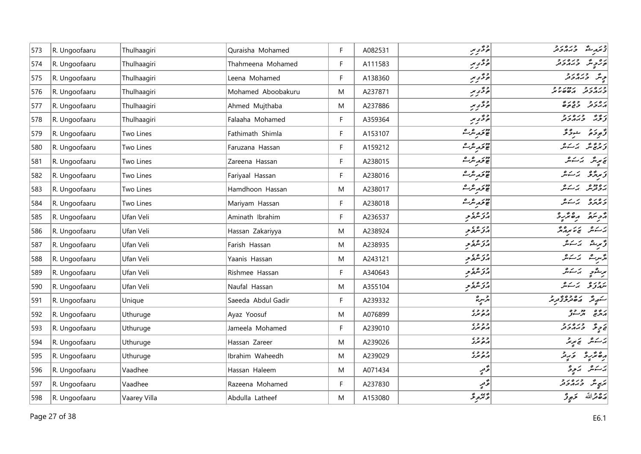| 573 | R. Ungoofaaru | Thulhaagiri  | Quraisha Mohamed   | F         | A082531 | <br> هونگى مىر           | و ره ر و<br><i>و ټ</i> رو تر<br> <br> توسمہ مستق                                                                                                                                                                                 |
|-----|---------------|--------------|--------------------|-----------|---------|--------------------------|----------------------------------------------------------------------------------------------------------------------------------------------------------------------------------------------------------------------------------|
| 574 | R. Ungoofaaru | Thulhaagiri  | Thahmeena Mohamed  | F         | A111583 | و<br> حوڭرىمىر           | ו פני פנסנד ביו ברי הרי הרי ביו הרי ביו הרי ביו הרי ביו הרי ביו הרי ביו הרי ביו הרי ביו ביו הרי ביו ביו הרי בי<br>הרי ביו הרי ביו ביו הרי ביו הרי ביו הרי ביו הרי ביו הרי ביו הרי ביו הרי הרי ביו הרי ביו הרי ביו ביו הרי ביו בי |
| 575 | R. Ungoofaaru | Thulhaagiri  | Leena Mohamed      | F         | A138360 | <br> حوڭرىمىر            | ویژ ورورو                                                                                                                                                                                                                        |
| 576 | R. Ungoofaaru | Thulhaagiri  | Mohamed Aboobakuru | M         | A237871 | <br> حوڭرىمىر            | 77/77/7<br>و ر ه ر د<br>تربر پر تر                                                                                                                                                                                               |
| 577 | R. Ungoofaaru | Thulhaagiri  | Ahmed Mujthaba     | ${\sf M}$ | A237886 | حرمتی میر<br>  حرمتی میر | נסנכ כסני<br>גגבת כבקים                                                                                                                                                                                                          |
| 578 | R. Ungoofaaru | Thulhaagiri  | Falaaha Mohamed    | F         | A359364 | چە ئىگە بەر<br>موڭرىس    | و رە ر د<br>تر پروتر<br>ترتزيژ                                                                                                                                                                                                   |
| 579 | R. Ungoofaaru | Two Lines    | Fathimath Shimla   | F         | A153107 | #ئەر بىرى                | ۇي <sub>م</sub> ۇ ئىرگە                                                                                                                                                                                                          |
| 580 | R. Ungoofaaru | Two Lines    | Faruzana Hassan    | F         | A159212 | #ئەر بىرى                | ر دەپر ئەسەھ                                                                                                                                                                                                                     |
| 581 | R. Ungoofaaru | Two Lines    | Zareena Hassan     | F         | A238015 | #ئۇرىرىم                 | ىم پرېتر كىرىكىش                                                                                                                                                                                                                 |
| 582 | R. Ungoofaaru | Two Lines    | Fariyaal Hassan    | F         | A238016 | #ئۇر بىر مىشە<br>        | ۇ برېژنۇ - ئەسەس                                                                                                                                                                                                                 |
| 583 | R. Ungoofaaru | Two Lines    | Hamdhoon Hassan    | M         | A238017 | #ئەر بىر مىشە<br>        | رەدەە ئەسەر<br>ئاجەتىرىش ئەس <mark>ە</mark> ر                                                                                                                                                                                    |
| 584 | R. Ungoofaaru | Two Lines    | Mariyam Hassan     | F         | A238018 | #ئەر بىرىشە              | رەرە يەسەر                                                                                                                                                                                                                       |
| 585 | R. Ungoofaaru | Ufan Veli    | Aminath Ibrahim    | F         | A236537 | دېر ۵،۵ م                | ە ھەمرىر 2<br>مەھمەر 2<br>أرمز                                                                                                                                                                                                   |
| 586 | R. Ungoofaaru | Ufan Veli    | Hassan Zakariyya   | ${\sf M}$ | A238924 | لوتر هء مر               | يُسَدَسْ بِيَ مَعِيدِهِ                                                                                                                                                                                                          |
| 587 | R. Ungoofaaru | Ufan Veli    | Farish Hassan      | ${\sf M}$ | A238935 | ە ئەر شرەڭ مېر           | ۇلىرىش بۇسكىر                                                                                                                                                                                                                    |
| 588 | R. Ungoofaaru | Ufan Veli    | Yaanis Hassan      | ${\sf M}$ | A243121 | ە ئەر ھەيجە              | ىر سرىشە ئەسكەنلەر                                                                                                                                                                                                               |
| 589 | R. Ungoofaaru | Ufan Veli    | Rishmee Hassan     | F         | A340643 | لرزه ءبر                 | يرڪوپ - يرڪش                                                                                                                                                                                                                     |
| 590 | R. Ungoofaaru | Ufan Veli    | Naufal Hassan      | M         | A355104 | ە ئەر ھەكى بىر           | ىردىرە بەسەش                                                                                                                                                                                                                     |
| 591 | R. Ungoofaaru | Unique       | Saeeda Abdul Gadir | F         | A239332 | د<br>مرسوره              | ر ده وه وه در د<br>استهرش ما ما موتوفوس                                                                                                                                                                                          |
| 592 | R. Ungoofaaru | Uthuruge     | Ayaz Yoosuf        | ${\sf M}$ | A076899 | د د د ،<br>پره مرد       | ג'ובס רב-בס                                                                                                                                                                                                                      |
| 593 | R. Ungoofaaru | Uthuruge     | Jameela Mohamed    | F         | A239010 | د د د ،<br>پره پرې       | و ره ر و<br><i>د بر</i> د تر<br>تع ت <sub>ح</sub> ر تخر                                                                                                                                                                          |
| 594 | R. Ungoofaaru | Uthuruge     | Hassan Zareer      | M         | A239026 | و و و د<br>پره مرد       | برسكش تجاميهما                                                                                                                                                                                                                   |
| 595 | R. Ungoofaaru | Uthuruge     | Ibrahim Waheedh    | ${\sf M}$ | A239029 | د د د ع<br>پره مرد       | أرە ئۆر ئەر ئەر                                                                                                                                                                                                                  |
| 596 | R. Ungoofaaru | Vaadhee      | Hassan Haleem      | ${\sf M}$ | A071434 | حٌسٍ                     | يزخش يزود                                                                                                                                                                                                                        |
| 597 | R. Ungoofaaru | Vaadhee      | Razeena Mohamed    | F         | A237830 | ء<br>ق <sup>و</sup> مير  | ټرې شر د دره د چ                                                                                                                                                                                                                 |
| 598 | R. Ungoofaaru | Vaarey Villa | Abdulla Latheef    | ${\sf M}$ | A153080 | ە يە<br>قەتىرموق         | برة قرالله تحيونر                                                                                                                                                                                                                |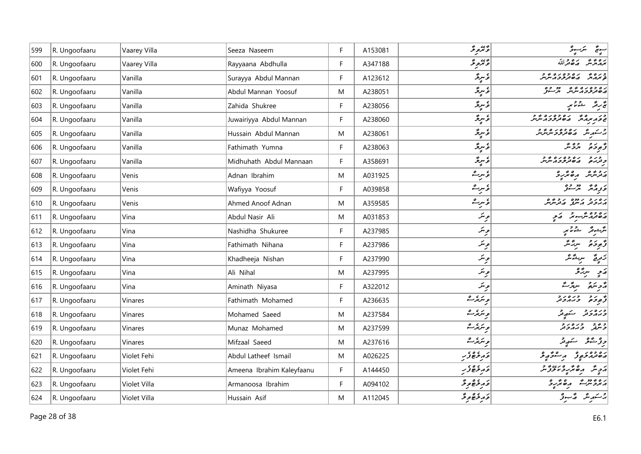| 599 | R. Ungoofaaru | Vaarey Villa   | Seeza Naseem              | F         | A153081 | لۇي <sub>م</sub> بۇ ئە  | ىئرسەۋ<br>اسىۋىتى<br>ئ                                                    |
|-----|---------------|----------------|---------------------------|-----------|---------|-------------------------|---------------------------------------------------------------------------|
| 600 | R. Ungoofaaru | Vaarey Villa   | Rayyaana Abdhulla         | F         | A347188 | ە يە<br>قەتىرە ق        | ر ه پر پژ<br>مَرْه قراللّه                                                |
| 601 | R. Ungoofaaru | Vanilla        | Surayya Abdul Mannan      | F         | A123612 | ۇسرىچە                  | ر ه د ه د ه رو بر د<br>پره تر تر تر سرس<br>و ر ه و<br>فو بر د د           |
| 602 | R. Ungoofaaru | Vanilla        | Abdul Mannan Yoosuf       | M         | A238051 | ءُ سرِ گُر              | ر ه و ه د ه د ه<br>پره تربر تربر<br>ېږمبره                                |
| 603 | R. Ungoofaaru | Vanilla        | Zahida Shukree            | F         | A238056 | ە بىرىگە<br>م           | پج پر تقریب شقور<br>سی سی سقور میں سی                                     |
| 604 | R. Ungoofaaru | Vanilla        | Juwairiyya Abdul Mannan   | F         | A238060 | ءیسیڈ                   | כן סף גם בסגסתיב<br>בפהינהיה הסנק <i>בב</i> היתית                         |
| 605 | R. Ungoofaaru | Vanilla        | Hussain Abdul Mannan      | M         | A238061 | ءُ سرِ تَرُ             | ر ه و ه د ه ه مر<br>پره تر تر تر س<br>جە ئەمەر بى <sub>ر</sub>            |
| 606 | R. Ungoofaaru | Vanilla        | Fathimath Yumna           | F         | A238063 | ە بىرىگە<br>م           | ترويثر<br>وَّجوحَ حَ                                                      |
| 607 | R. Ungoofaaru | Vanilla        | Midhuhath Abdul Mannaan   | F         | A358691 | ءُ سرِ تَرُ             | ر ٥ ر ٥ ر ٥ ر ٩<br>پر ۱۵ تر تر تر سرس<br>و تربر و<br>د تربر <sub>حو</sub> |
| 608 | R. Ungoofaaru | Venis          | Adnan Ibrahim             | M         | A031925 | ء سرب                   | ە تەرىئەر<br>ەھ ئۆرۈ                                                      |
| 609 | R. Ungoofaaru | Venis          | Wafiyya Yoosuf            | F         | A039858 | ۇسرىئە                  | د وه د ده وه                                                              |
| 610 | R. Ungoofaaru | Venis          | Ahmed Anoof Adnan         | M         | A359585 | ۇسرىشە                  | ג פג כן הכפי ג כובים.<br>הגביה הייתר והתייתיית                            |
| 611 | R. Ungoofaaru | Vina           | Abdul Nasir Ali           | M         | A031853 | لعريتيه                 |                                                                           |
| 612 | R. Ungoofaaru | Vina           | Nashidha Shukuree         | F         | A237985 | حيتكر                   | سر<br>سر شونر شور پر                                                      |
| 613 | R. Ungoofaaru | Vina           | Fathimath Nihana          | F         | A237986 | حيتكر                   | وتجودة سرقتن                                                              |
| 614 | R. Ungoofaaru | Vina           | Khadheeja Nishan          | F         | A237990 | حيتكر                   | زَمرِيَّ سِرْيَةَ<br>رَمَرِيَّ سِرْيَةِ<br>سریشگر<br>ک                    |
| 615 | R. Ungoofaaru | Vina           | Ali Nihal                 | ${\sf M}$ | A237995 | حيتكر                   |                                                                           |
| 616 | R. Ungoofaaru | Vina           | Aminath Niyasa            | F         | A322012 | حبتكر                   | أأدبتكم المراكبة                                                          |
| 617 | R. Ungoofaaru | Vinares        | Fathimath Mohamed         | F         | A236635 | ا <sub>عو</sub> متر پڑے | و ره ر د<br><i>د ب</i> رگرفر<br>ۇ بور بو                                  |
| 618 | R. Ungoofaaru | Vinares        | Mohamed Saeed             | ${\sf M}$ | A237584 | <sub>ع</sub> بىر پر م   | و ر ه ر و<br>تر پر تر تر<br>سكهيقر                                        |
| 619 | R. Ungoofaaru | Vinares        | Munaz Mohamed             | ${\sf M}$ | A237599 | وبتربر مقمر             | و ره ر و<br><i>و ټ</i> رونر<br>ج پر د<br>حر متر فعر                       |
| 620 | R. Ungoofaaru | <b>Vinares</b> | Mifzaal Saeed             | ${\sf M}$ | A237616 | ە ئىرىئە شە             | ووشكل سكهاند                                                              |
| 621 | R. Ungoofaaru | Violet Fehi    | Abdul Latheef Ismail      | ${\sf M}$ | A026225 | ئەرىۋە ئەس              | גם כסת בית כ                                                              |
| 622 | R. Ungoofaaru | Violet Fehi    | Ameena Ibrahim Kaleyfaanu | F         | A144450 | ئەرىۋە ئەر              | גב בי הסתקבעת בי                                                          |
| 623 | R. Ungoofaaru | Violet Villa   | Armanoosa Ibrahim         | F         | A094102 | ئەرىۋە بۇ ئە            | ر ه و دو و.<br>مربر س<br>برە ئۆرۈ                                         |
| 624 | R. Ungoofaaru | Violet Villa   | Hussain Asif              | ${\sf M}$ | A112045 | وَرِدْعْ وِدَّ          | ير سەر شەھ ئەسىر                                                          |
|     |               |                |                           |           |         |                         |                                                                           |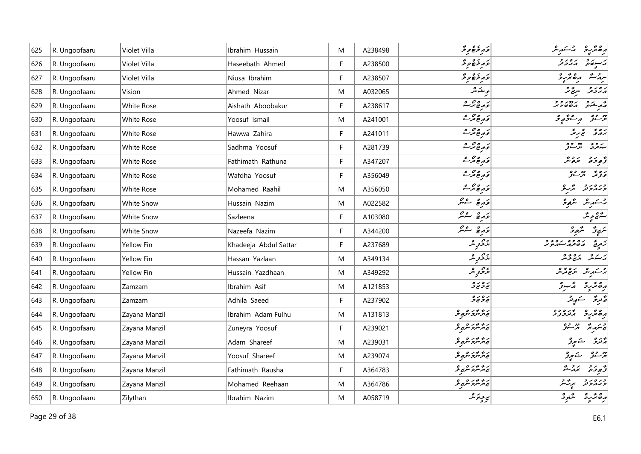| 625 | R. Ungoofaaru | Violet Villa      | Ibrahim Hussain       | M         | A238498 | وَرِدْعْ وِرَّ                                   | برسەمەر<br>ەرھ ئ <sup>ۆ</sup> رۈ              |
|-----|---------------|-------------------|-----------------------|-----------|---------|--------------------------------------------------|-----------------------------------------------|
| 626 | R. Ungoofaaru | Violet Villa      | Haseebath Ahmed       | F         | A238500 | ئەرىۋە بۇ ئە                                     | برە يە چ<br>بر سوھ ہ<br>پر                    |
| 627 | R. Ungoofaaru | Violet Villa      | Niusa Ibrahim         | F         | A238507 | ءَ <sub>مر</sub> ځوه <sub>م</sub> وځه            | سرژیځ<br>ەھ تررۋ                              |
| 628 | R. Ungoofaaru | Vision            | Ahmed Nizar           | M         | A032065 | ە پەشەنگە                                        | ىر 2 مەر<br>مەبرى <del>ك</del> ىر<br>سرچ تر   |
| 629 | R. Ungoofaaru | White Rose        | Aishath Aboobakur     | F         | A238617 | لتروحه                                           | 77777<br>ر<br>در ۲ سنده                       |
| 630 | R. Ungoofaaru | White Rose        | Yoosuf Ismail         | M         | A241001 | ورجوعه                                           | مەسىۋەپەتر<br>دد و ه<br>در سور                |
| 631 | R. Ungoofaaru | <b>White Rose</b> | Hawwa Zahira          | F         | A241011 | ر مەم ھ<br>مۇم ھ                                 | ر ه و<br>برد و<br>ىتى سەتتىر                  |
| 632 | R. Ungoofaaru | White Rose        | Sadhma Yoosuf         | F         | A281739 | ىر ەم ي <sub>ى</sub> م                           | دد د ه<br>ر و د<br><i>س</i> وترو              |
| 633 | R. Ungoofaaru | White Rose        | Fathimath Rathuna     | F         | A347207 | ورءٍ پر ہ                                        | ء بر د<br>ترجو حو<br>ر دي.<br>بره متر         |
| 634 | R. Ungoofaaru | White Rose        | Wafdha Yoosuf         | F         | A356049 | ورجوعه                                           | ر ه بر<br>و و تر<br>ېژىستۇ                    |
| 635 | R. Ungoofaaru | White Rose        | Mohamed Raahil        | M         | A356050 | ورءيمت                                           | و ر ه ر د<br>د بر پر <del>د</del> تر<br>بۇرىۋ |
| 636 | R. Ungoofaaru | <b>White Snow</b> | Hussain Nazim         | ${\sf M}$ | A022582 | وَرِءٍ عقر                                       | جەسە <sub>م</sub> بەر<br>متزه ژ               |
| 637 | R. Ungoofaaru | White Snow        | Sazleena              | F         | A103080 | أقرم هوجير                                       | شۇمۇپىر                                       |
| 638 | R. Ungoofaaru | <b>White Snow</b> | Nazeefa Nazim         | F         | A344200 | أقهرهج سنكر                                      | سَيِّحٍ تَرَّ<br>سَّغِرِ رَ                   |
| 639 | R. Ungoofaaru | Yellow Fin        | Khadeeja Abdul Sattar | F         | A237689 | پرمور پر                                         | نزورة<br>ره وه ره د و<br>په ه ترو سنوره تر    |
| 640 | R. Ungoofaaru | Yellow Fin        | Hassan Yazlaan        | M         | A349134 | پر وي پر                                         | برے میں اردام کا مرکز کر                      |
| 641 | R. Ungoofaaru | <b>Yellow Fin</b> | Hussain Yazdhaan      | ${\sf M}$ | A349292 | برعرو بثر                                        | جرسكەر شرىق ترىش                              |
| 642 | R. Ungoofaaru | Zamzam            | Ibrahim Asif          | M         | A121853 | ر ه ر ه<br>پح بخ ب                               | ە ھەترىرى<br>بەھەترىرى<br>ە ئەسىرى            |
| 643 | R. Ungoofaaru | Zamzam            | Adhila Saeed          | F         | A237902 | ر ه ر ه<br>پح پخ                                 | ەر ئىرقى<br>سەمەقر                            |
| 644 | R. Ungoofaaru | Zayana Manzil     | Ibrahim Adam Fulhu    | M         | A131813 | ر پر بر بر مربع تر<br>بح مر سر پر سر بع          | په ره و د<br>پر تر تر تر<br>رە ئۈرۈ           |
| 645 | R. Ungoofaaru | Zayana Manzil     | Zuneyra Yoosuf        | F         | A239021 | ر پرېژنو ش <sub>کتو</sub> څه                     | ج سکہ بحر<br>ېژىستۇ                           |
| 646 | R. Ungoofaaru | Zayana Manzil     | Adam Shareef          | ${\sf M}$ | A239031 | ر پر بر پر ه<br>بح مر سرچ سر پر څه               | په ره<br>د ترن<br>ے موثر                      |
| 647 | R. Ungoofaaru | Zayana Manzil     | Yoosuf Shareef        | ${\sf M}$ | A239074 | <br>  ئى تر تىر ئىسى ئىسى ئى                     | دد ره ه<br>ے مور <sup>9</sup>                 |
| 648 | R. Ungoofaaru | Zayana Manzil     | Fathimath Rausha      | F         | A364783 | ر پر بر پر ه<br>بح <del>م</del> ر سر پر سر پر تر | رُّ مِرَدَّ مَدَيْنَة                         |
| 649 | R. Ungoofaaru | Zayana Manzil     | Mohamed Reehaan       | M         | A364786 | <br>  ئ <sup>ى</sup> رتىر ئىر ئىرى ئى            | و ره ر و<br><i>و پر</i> پر تر<br>ىبرىشىتر     |
| 650 | R. Ungoofaaru | Zilythan          | Ibrahim Nazim         | ${\sf M}$ | A058719 | ای <sub>م</sub> وهُ میْر<br>مسیح                 | سَّرْهُ رُ<br>ەر ھەتمەر 2<br>رەھىمەر 2        |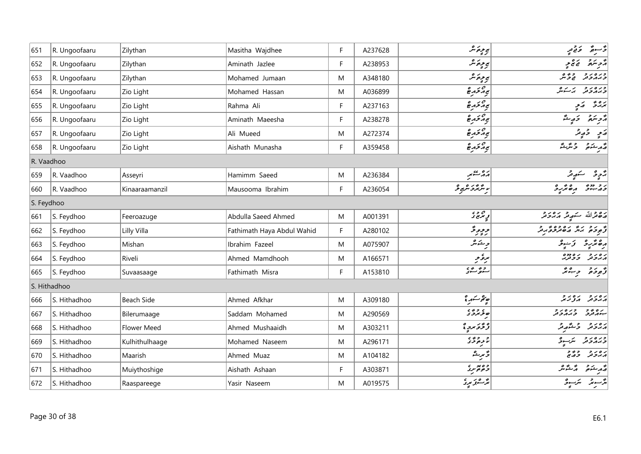| 651        | R. Ungoofaaru | Zilythan           | Masitha Wajdhee            | F         | A237628 | اي <sub>م</sub> وځ مر<br>په      |                                                                                                                |
|------------|---------------|--------------------|----------------------------|-----------|---------|----------------------------------|----------------------------------------------------------------------------------------------------------------|
| 652        | R. Ungoofaaru | Zilythan           | Aminath Jazlee             | F         | A238953 | ىپە مەھرىگر<br>ترىپ <sup>ى</sup> | و سره دونږ<br>د سره ده د پر<br>مرسمه نوم د                                                                     |
| 653        | R. Ungoofaaru | Zilythan           | Mohamed Jumaan             | ${\sf M}$ | A348180 | ليوجونثر                         |                                                                                                                |
| 654        | R. Ungoofaaru | Zio Light          | Mohamed Hassan             | ${\sf M}$ | A036899 | المجار محرمة                     | ورەرو پەسەر                                                                                                    |
| 655        | R. Ungoofaaru | Zio Light          | Rahma Ali                  | F         | A237163 | بجوثر خرمرهج                     | بروو المالمج                                                                                                   |
| 656        | R. Ungoofaaru | Zio Light          | Aminath Maeesha            | F         | A238278 | $rac{1}{2}$                      |                                                                                                                |
| 657        | R. Ungoofaaru | Zio Light          | Ali Mueed                  | ${\sf M}$ | A272374 | بجوثر خرمرهم                     |                                                                                                                |
| 658        | R. Ungoofaaru | Zio Light          | Aishath Munasha            | F         | A359458 | بجاز خرارهج                      | م المستوفر و المراكبة                                                                                          |
| R. Vaadhoo |               |                    |                            |           |         |                                  |                                                                                                                |
| 659        | R. Vaadhoo    | Asseyri            | Hamimm Saeed               | ${\sf M}$ | A236384 | اړه سيمر                         | بڑو ئور مند دیگر<br>مقا                                                                                        |
| 660        | R. Vaadhoo    | Kinaaraamanzil     | Mausooma Ibrahim           | F         | A236054 | ىر ئىر ئىر ئىر ئىر               | $\frac{27}{27}$<br>ە ھەترىرى                                                                                   |
| S. Feydhoo |               |                    |                            |           |         |                                  |                                                                                                                |
| 661        | S. Feydhoo    | Feeroazuge         | Abdulla Saeed Ahmed        | ${\sf M}$ | A001391 | و ۶ د ه<br>پ <sub>ه</sub> ترې د  | رە داللە سەر مەدەر                                                                                             |
| 662        | S. Feydhoo    | Lilly Villa        | Fathimath Haya Abdul Wahid | F         | A280102 | اووه وٌ<br><u>رو</u> ر           |                                                                                                                |
| 663        | S. Feydhoo    | Mishan             | Ibrahim Fazeel             | ${\sf M}$ | A075907 | وشەمىر                           | ره پژره و زیده<br>د ه پژره و دره و<br>د بره دره دره دره                                                        |
| 664        | S. Feydhoo    | Riveli             | Ahmed Mamdhooh             | ${\sf M}$ | A166571 | ىردى<br>س                        |                                                                                                                |
| 665        | S. Feydhoo    | Suvaasaage         | Fathimath Misra            | F         | A153810 | ر د پورې                         | قهوزة وجنتر                                                                                                    |
|            | S. Hithadhoo  |                    |                            |           |         |                                  |                                                                                                                |
| 666        | S. Hithadhoo  | <b>Beach Side</b>  | Ahmed Afkhar               | ${\sf M}$ | A309180 | <br>  په محر سندر ؟<br>          | أرەر دەر دەر                                                                                                   |
| 667        | S. Hithadhoo  | Bilerumaage        | Saddam Mohamed             | M         | A290569 | ه د و و د<br>مومرو د             | ر ه و و<br>سوارترو<br>و ر ه ر د<br>تر پر ژ تر                                                                  |
| 668        | S. Hithadhoo  | <b>Flower Meed</b> | Ahmed Mushaaidh            | M         | A303211 | ژځو مرح ؟                        | ره روح و عمد و                                                                                                 |
| 669        | S. Hithadhoo  | Kulhithulhaage     | Mohamed Naseem             | M         | A296171 | د په ده د<br>  ما موځونو د       | ورەر دىرىدۇ                                                                                                    |
| 670        | S. Hithadhoo  | Maarish            | Ahmed Muaz                 | ${\sf M}$ | A104182 | ۇ ئىرىشە                         |                                                                                                                |
| 671        | S. Hithadhoo  | Muiythoshige       | Aishath Ashaan             | F         | A303871 | و ه بو<br>تر حومو مور            | أقرم شوقو المرشوش                                                                                              |
| 672        | S. Hithadhoo  | Raaspareege        | Yasir Naseem               | ${\sf M}$ | A019575 | ئۇرىش <sub>ۇ</sub> ئەسرى         | وگر پیدا کر سر کر دی کر در کار کرداری کر در این کردار کردار کردار کردار کردار کردار کردی کردی کردی کردی کردی ک |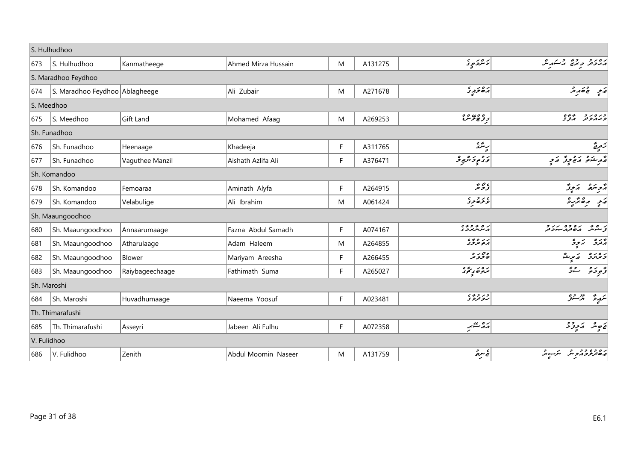|     | S. Hulhudhoo                   |                 |                     |   |         |                                        |                                                |
|-----|--------------------------------|-----------------|---------------------|---|---------|----------------------------------------|------------------------------------------------|
| 673 | S. Hulhudhoo                   | Kanmatheege     | Ahmed Mirza Hussain | M | A131275 | ر مر <sub>کبر</sub> م                  | גפיג ביניה געותית                              |
|     | S. Maradhoo Feydhoo            |                 |                     |   |         |                                        |                                                |
| 674 | S. Maradhoo Feydhoo Ablagheege |                 | Ali Zubair          | M | A271678 | برە ئەز                                | $\mathcal{L}_{\mathcal{A}}$                    |
|     | S. Meedhoo                     |                 |                     |   |         |                                        |                                                |
| 675 | S. Meedhoo                     | Gift Land       | Mohamed Afaaq       | M | A269253 | ه وه <i>بره و ه</i>                    | ورەر د دو.<br>چەمەدىر مۇق                      |
|     | Sh. Funadhoo                   |                 |                     |   |         |                                        |                                                |
| 676 | Sh. Funadhoo                   | Heenaage        | Khadeeja            | F | A311765 | بەشمە                                  | نزىرىقى                                        |
| 677 | Sh. Funadhoo                   | Vaguthee Manzil | Aishath Azlifa Ali  | F | A376471 | ر د <sub>مو</sub> ځ ش <sub>م</sub> و څ | د.<br>د د شوه د د د و گرو                      |
|     | Sh. Komandoo                   |                 |                     |   |         |                                        |                                                |
| 678 | Sh. Komandoo                   | Femoaraa        | Aminath Alyfa       | F | A264915 | ء ص عر                                 | أأروبتهم أأروقه                                |
| 679 | Sh. Komandoo                   | Velabulige      | Ali Ibrahim         | M | A061424 | ې پر چ<br>حرکت موت                     | أمو مقترح                                      |
|     | Sh. Maaungoodhoo               |                 |                     |   |         |                                        |                                                |
| 680 | Sh. Maaungoodhoo               | Annaarumaage    | Fazna Abdul Samadh  | F | A074167 | ر ۵ ۶ ۶ و ۶<br>۸ سرسربرو ی             | ر ٥ ٥ ٥ ٥ ر ر و<br>پرې تر پر سور تر<br>ۇ شەپىر |
| 681 | Sh. Maaungoodhoo               | Atharulaage     | Adam Haleem         | M | A264855 | ر ر د د ،<br>پره برو د                 | پج ر ہ<br>مرکور<br>برَموِدْ                    |
| 682 | Sh. Maaungoodhoo               | Blower          | Mariyam Areesha     | F | A266455 | وہ ر و<br>ھوھ بر                       | ر ه ر ه<br><del>ر</del> بربرد                  |
| 683 | Sh. Maaungoodhoo               | Raiybageechaage | Fathimath Suma      | F | A265027 | ر ە ر<br>ئىرگەن ئەگەر                  | ستریخ<br>ءِ بر د<br>ترجو حو                    |
|     | Sh. Maroshi                    |                 |                     |   |         |                                        |                                                |
| 684 | <b>Sh. Maroshi</b>             | Huvadhumaage    | Naeema Yoosuf       | F | A023481 | و ر و د »<br>رو درو د                  | دد حرو<br>سَمِهِ وَّ                           |
|     | Th. Thimarafushi               |                 |                     |   |         |                                        |                                                |
| 685 | Th. Thimarafushi               | Asseyri         | Jabeen Ali Fulhu    | F | A072358 | اړه سيمبر                              | ق ھو گھور گھ                                   |
|     | V. Fulidhoo                    |                 |                     |   |         |                                        |                                                |
| 686 | V. Fulidhoo                    | Zenith          | Abdul Moomin Naseer | M | A131759 | ئم سرچ                                 | رە دە دولىرى ئىسبەتى<br>ھەقىرىمەترىس ئىسبەتى   |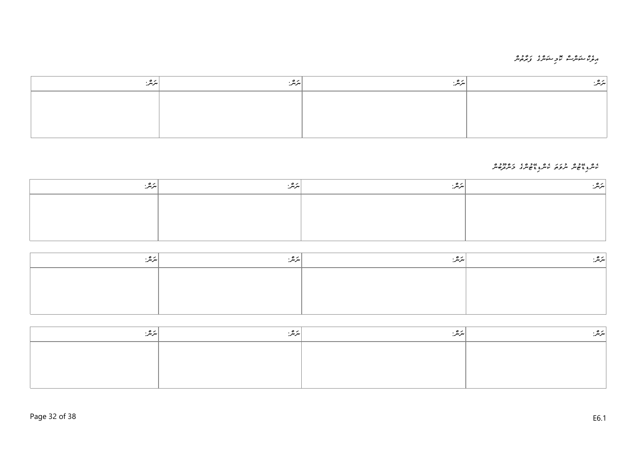## *w7qAn8m? sCw7mRo>u; wEw7mRw;sBo<*

| ' مرمر | 'يئرىثر: |
|--------|----------|
|        |          |
|        |          |
|        |          |

## *w7q9r@w7m> sCw7qHtFoFw7s; mAm=q7 w7qHtFoFw7s;*

| ىر تە | $\mathcal{O} \times$<br>$\sim$ | $\sim$<br>. . | لترنثر |
|-------|--------------------------------|---------------|--------|
|       |                                |               |        |
|       |                                |               |        |
|       |                                |               |        |

| انترنثر: | $^{\circ}$ | يبرهر | $^{\circ}$<br>سرسر |
|----------|------------|-------|--------------------|
|          |            |       |                    |
|          |            |       |                    |
|          |            |       |                    |

| ىرتىر: | 。<br>سر سر | .,<br>مرسر |
|--------|------------|------------|
|        |            |            |
|        |            |            |
|        |            |            |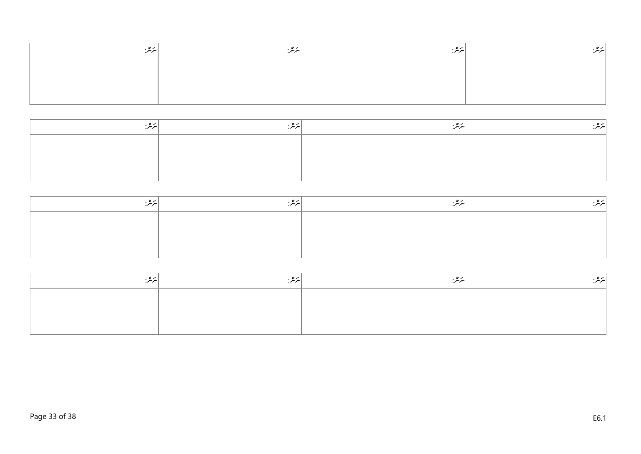| يزهر | $^{\circ}$ | ىئرىتر: |  |
|------|------------|---------|--|
|      |            |         |  |
|      |            |         |  |
|      |            |         |  |

| متريثر به | 。<br>'سرسر'۔ | يتزيترا | سرسر |
|-----------|--------------|---------|------|
|           |              |         |      |
|           |              |         |      |
|           |              |         |      |

| ىئرىتر. | $\sim$ | ا بر هه. | لىرىش |
|---------|--------|----------|-------|
|         |        |          |       |
|         |        |          |       |
|         |        |          |       |

| 。<br>مرس. | $\overline{\phantom{a}}$<br>مر مىر | يتريثر |
|-----------|------------------------------------|--------|
|           |                                    |        |
|           |                                    |        |
|           |                                    |        |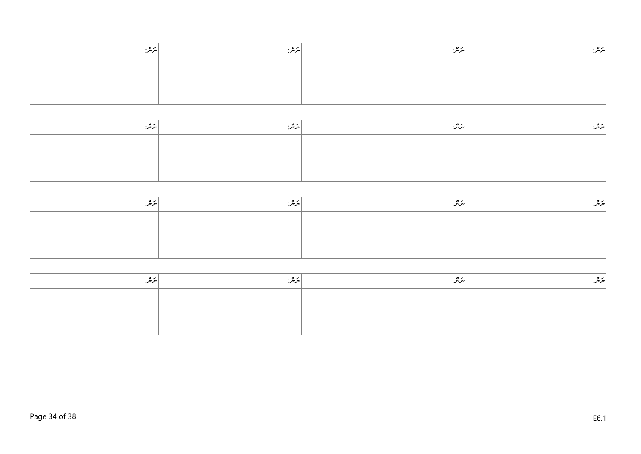| ير هو . | $\overline{\phantom{a}}$ | يرمر | اير هنه. |
|---------|--------------------------|------|----------|
|         |                          |      |          |
|         |                          |      |          |
|         |                          |      |          |

| ىر تىر: | $\circ$ $\sim$<br>" سرسر . | يبرحه | o . |
|---------|----------------------------|-------|-----|
|         |                            |       |     |
|         |                            |       |     |
|         |                            |       |     |

| 'تترنثر: | 。<br>,,,, |  |
|----------|-----------|--|
|          |           |  |
|          |           |  |
|          |           |  |

|  | . ه |
|--|-----|
|  |     |
|  |     |
|  |     |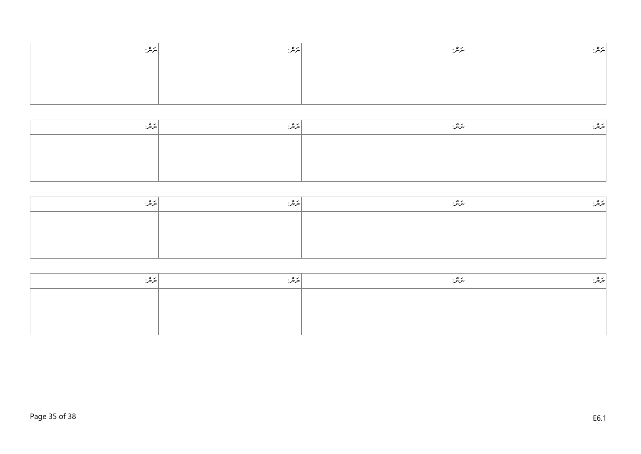| ير هو . | $\overline{\phantom{a}}$ | يرمر | اير هنه. |
|---------|--------------------------|------|----------|
|         |                          |      |          |
|         |                          |      |          |
|         |                          |      |          |

| ىر تىر: | $\circ$ $\sim$<br>" سرسر . | يبرحه | o . |
|---------|----------------------------|-------|-----|
|         |                            |       |     |
|         |                            |       |     |
|         |                            |       |     |

| 'تترنثر: | 。<br>,,,, |  |
|----------|-----------|--|
|          |           |  |
|          |           |  |
|          |           |  |

|  | . ه |
|--|-----|
|  |     |
|  |     |
|  |     |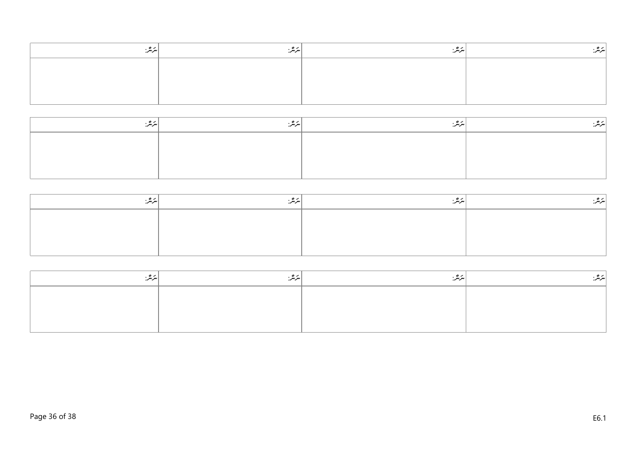| $\cdot$ | ο. | $\frac{\circ}{\cdot}$ | $\sim$<br>سرسر |
|---------|----|-----------------------|----------------|
|         |    |                       |                |
|         |    |                       |                |
|         |    |                       |                |

| ايرعر: | ر ه<br>. . |  |
|--------|------------|--|
|        |            |  |
|        |            |  |
|        |            |  |

| بر ه | 。 | $\overline{\phantom{0}}$<br>َ سومس. |  |
|------|---|-------------------------------------|--|
|      |   |                                     |  |
|      |   |                                     |  |
|      |   |                                     |  |

| 。<br>. س | ىرىىر |  |
|----------|-------|--|
|          |       |  |
|          |       |  |
|          |       |  |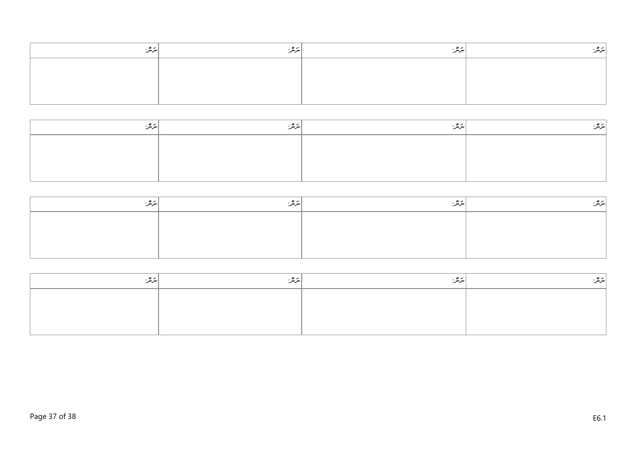| ير هو . | $\overline{\phantom{a}}$ | يرمر | لتزمثن |
|---------|--------------------------|------|--------|
|         |                          |      |        |
|         |                          |      |        |
|         |                          |      |        |

| ىبرىر. | $\sim$<br>ا سرسر . | يئرمثر | o . |
|--------|--------------------|--------|-----|
|        |                    |        |     |
|        |                    |        |     |
|        |                    |        |     |

| 'تترنثر: | 。<br>,,,, |  |
|----------|-----------|--|
|          |           |  |
|          |           |  |
|          |           |  |

|  | . ه |
|--|-----|
|  |     |
|  |     |
|  |     |